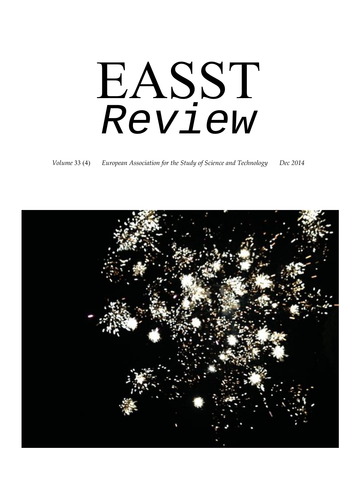# EASST *Review*

*Volume* 33 (4) *European Association for the Study of Science and Technology Dec 2014*

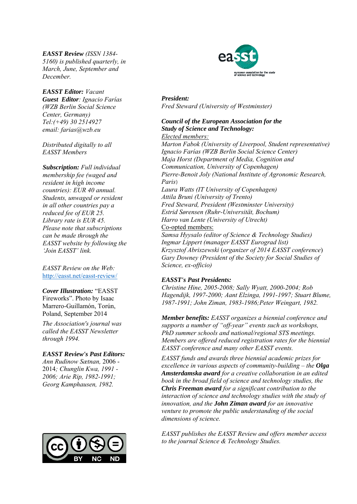*EASST Review (ISSN 1384- 5160) is published quarterly, in March, June, September and December.* 

*EASST Editor: Vacant Guest Editor: Ignacio Farías (WZB Berlin Social Science Center, Germany) Tel:(+49) 30 2514927 email: farias@wzb.eu* 

*Distributed digitally to all EASST Members* 

*Subscription: Full individual membership fee (waged and resident in high income countries): EUR 40 annual. Students, unwaged or resident in all other countries pay a reduced fee of EUR 25. Library rate is EUR 45. Please note that subscriptions can be made through the EASST website by following the 'Join EASST' link.*

*EASST Review on the Web:*  http://easst.net/easst-review/

*Cover Illustration:* "EASST Fireworks". Photo by Isaac Marrero-Guillamón, Torún, Poland, September 2014

*The Association's journal was called the EASST Newsletter through 1994.* 

*EASST Review's Past Editors:* 

*Ann Rudinow Sætnan,* 2006 - 2014*; Chunglin Kwa, 1991 - 2006; Arie Rip, 1982-1991; Georg Kamphausen, 1982.* 





*President: Fred Steward (University of Westminster)* 

#### *Council of the European Association for the Study of Science and Technology: Elected members:*

*Marton Fabok (University of Liverpool, Student representative) Ignacio Farías (WZB Berlin Social Science Center) Maja Horst (Department of Media, Cognition and Communication, University of Copenhagen) Pierre-Benoit Joly (National Institute of Agronomic Research, Paris) Laura Watts (IT University of Copenhagen) Attila Bruni (University of Trento) Fred Steward, President (Westminster University) Estrid Sørensen (Ruhr-Universität, Bochum) Harro van Lente (University of Utrecht)*  Co-opted members: *Samsa Hyysalo (editor of Science & Technology Studies) Ingmar Lippert (manager EASST Eurograd list) Krzysztof Abriszewski* (*organizer of 2014 EASST conference*) *Gary Downey (President of the Society for Social Studies of Science, ex-officio)* 

#### *EASST's Past Presidents:*

*Christine Hine, 2005-2008; Sally Wyatt, 2000-2004; Rob Hagendijk, 1997-2000; Aant Elzinga, 1991-1997; Stuart Blume, 1987-1991; John Ziman, 1983-1986;Peter Weingart, 1982.* 

*Member benefits: EASST organizes a biennial conference and supports a number of "off-year" events such as workshops, PhD summer schools and national/regional STS meetings. Members are offered reduced registration rates for the biennial EASST conference and many other EASST events.* 

*EASST funds and awards three biennial academic prizes for excellence in various aspects of community-building – the Olga Amsterdamska award for a creative collaboration in an edited book in the broad field of science and technology studies, the Chris Freeman award for a significant contribution to the interaction of science and technology studies with the study of innovation, and the John Ziman award for an innovative venture to promote the public understanding of the social dimensions of science.*

*EASST publishes the EASST Review and offers member access to the journal Science & Technology Studies.*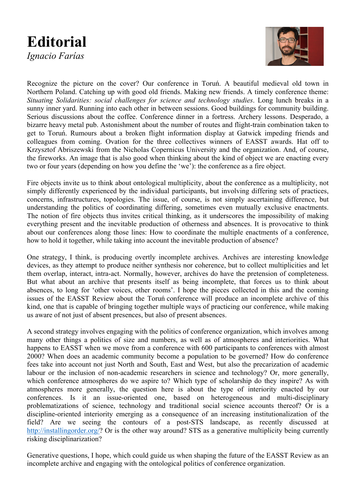### **Editorial**  *Ignacio Farías*



Recognize the picture on the cover? Our conference in Toruń. A beautiful medieval old town in Northern Poland. Catching up with good old friends. Making new friends. A timely conference theme: *Situating Solidarities: social challenges for science and technology studies*. Long lunch breaks in a sunny inner yard. Running into each other in between sessions. Good buildings for community building. Serious discussions about the coffee. Conference dinner in a fortress. Archery lessons. Desperado, a bizarre heavy metal pub. Astonishment about the number of routes and flight-train combination taken to get to Toruń. Rumours about a broken flight information display at Gatwick impeding friends and colleagues from coming. Ovation for the three collectives winners of EASST awards. Hat off to Krzysztof Abriszewski from the Nicholas Copernicus University and the organization. And, of course, the fireworks. An image that is also good when thinking about the kind of object we are enacting every two or four years (depending on how you define the 'we'): the conference as a fire object.

Fire objects invite us to think about ontological multiplicity, about the conference as a multiplicity, not simply differently experienced by the individual participants, but involving differing sets of practices, concerns, infrastructures, topologies. The issue, of course, is not simply ascertaining difference, but understanding the politics of coordinating differing, sometimes even mutually exclusive enactments. The notion of fire objects thus invites critical thinking, as it underscores the impossibility of making everything present and the inevitable production of otherness and absences. It is provocative to think about our conferences along those lines: How to coordinate the multiple enactments of a conference, how to hold it together, while taking into account the inevitable production of absence?

One strategy, I think, is producing overtly incomplete archives. Archives are interesting knowledge devices, as they attempt to produce neither synthesis nor coherence, but to collect multiplicities and let them overlap, interact, intra-act. Normally, however, archives do have the pretension of completeness. But what about an archive that presents itself as being incomplete, that forces us to think about absences, to long for 'other voices, other rooms'. I hope the pieces collected in this and the coming issues of the EASST Review about the Toruń conference will produce an incomplete archive of this kind, one that is capable of bringing together multiple ways of practicing our conference, while making us aware of not just of absent presences, but also of present absences.

A second strategy involves engaging with the politics of conference organization, which involves among many other things a politics of size and numbers, as well as of atmospheres and interiorities. What happens to EASST when we move from a conference with 600 participants to conferences with almost 2000? When does an academic community become a population to be governed? How do conference fees take into account not just North and South, East and West, but also the precarization of academic labour or the inclusion of non-academic researchers in science and technology? Or, more generally, which conference atmospheres do we aspire to? Which type of scholarship do they inspire? As with atmospheres more generally, the question here is about the type of interiority enacted by our conferences. Is it an issue-oriented one, based on heterogeneous and multi-disciplinary problematizations of science, technology and traditional social science accounts thereof? Or is a discipline-oriented interiority emerging as a consequence of an increasing institutionalization of the field? Are we seeing the contours of a post-STS landscape, as recently discussed at http://installingorder.org/? Or is the other way around? STS as a generative multiplicity being currently risking disciplinarization?

Generative questions, I hope, which could guide us when shaping the future of the EASST Review as an incomplete archive and engaging with the ontological politics of conference organization.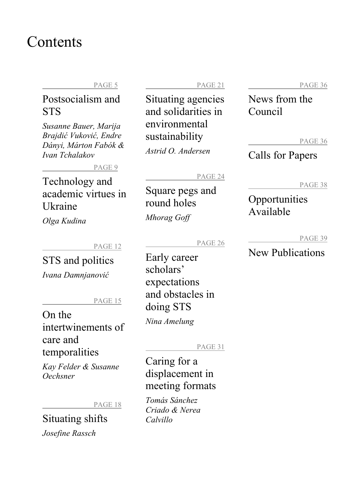### Contents

#### PAGE 5

### Postsocialism and **STS**

*Susanne Bauer, Marija Brajdić Vuković, Endre Dányi, Márton Fabók & Ivan Tchalakov* 

PAGE 9

Technology and academic virtues in Ukraine

*Olga Kudina* 

PAGE 12

STS and politics

*Ivana Damnjanović*

PAGE 15

### On the intertwinements of care and temporalities

*Kay Felder & Susanne Oechsner* 

PAGE 18

Situating shifts *Josefine Rassch* 

PAGE 21

Situating agencies and solidarities in environmental sustainability *Astrid O. Andersen* 

#### PAGE 24

Square pegs and round holes

*Mhorag Goff* 

PAGE 26

Early career scholars' expectations and obstacles in doing STS *Nina Amelung* 

#### PAGE 31

Caring for a displacement in meeting formats

*Tomás Sánchez Criado & Nerea Calvillo* 

PAGE 36

News from the Council

PAGE 36

### Calls for Papers

PAGE 38

### **Opportunities** Available

PAGE 39

### New Publications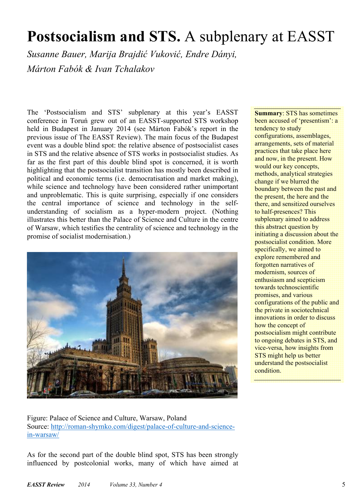# **Postsocialism and STS.** A subplenary at EASST

*Susanne Bauer, Marija Brajdić Vuković, Endre Dányi, Márton Fabók & Ivan Tchalakov* 

The 'Postsocialism and STS' subplenary at this year's EASST conference in Toruń grew out of an EASST-supported STS workshop held in Budapest in January 2014 (see Márton Fabók's report in the previous issue of The EASST Review). The main focus of the Budapest event was a double blind spot: the relative absence of postsocialist cases in STS and the relative absence of STS works in postsocialist studies. As far as the first part of this double blind spot is concerned, it is worth highlighting that the postsocialist transition has mostly been described in political and economic terms (i.e. democratisation and market making), while science and technology have been considered rather unimportant and unproblematic. This is quite surprising, especially if one considers the central importance of science and technology in the selfunderstanding of socialism as a hyper-modern project. (Nothing illustrates this better than the Palace of Science and Culture in the centre of Warsaw, which testifies the centrality of science and technology in the promise of socialist modernisation.)



**Summary**: STS has sometimes been accused of 'presentism': a tendency to study configurations, assemblages, arrangements, sets of material practices that take place here and now, in the present. How would our key concepts, methods, analytical strategies change if we blurred the boundary between the past and the present, the here and the there, and sensitized ourselves to half-presences? This subplenary aimed to address this abstract question by initiating a discussion about the postsocialist condition. More specifically, we aimed to explore remembered and forgotten narratives of modernism, sources of enthusiasm and scepticism towards technoscientific promises, and various configurations of the public and the private in sociotechnical innovations in order to discuss how the concept of postsocialism might contribute to ongoing debates in STS, and vice-versa, how insights from STS might help us better understand the postsocialist condition.

Figure: Palace of Science and Culture, Warsaw, Poland Source: http://roman-shymko.com/digest/palace-of-culture-and-sciencein-warsaw/

As for the second part of the double blind spot, STS has been strongly influenced by postcolonial works, many of which have aimed at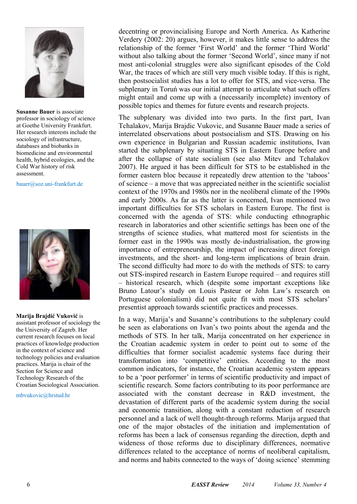

**Susanne Bauer** is associate professor in sociology of science at Goethe University Frankfurt. Her research interests include the sociology of infrastructure, databases and biobanks in biomedicine and environmental health, hybrid ecologies, and the Cold War history of risk assessment.

bauer@soz.uni-frankfurt.de



**Marija Brajdić Vuković** is assistant professor of sociology the the University of Zagreb. Her current research focuses on local practices of knowledge production in the context of science and technology policies and evaluation practices. Marija is chair of the Section for Science and Technology Research of the Croatian Sociological Association.

mbvukovic@hrstud.hr

decentring or provincialising Europe and North America. As Katherine Verdery (2002: 20) argues, however, it makes little sense to address the relationship of the former 'First World' and the former 'Third World' without also talking about the former 'Second World', since many if not most anti-colonial struggles were also significant episodes of the Cold War, the traces of which are still very much visible today. If this is right, then postsocialist studies has a lot to offer for STS, and vice-versa. The subplenary in Toruń was our initial attempt to articulate what such offers might entail and come up with a (necessarily incomplete) inventory of possible topics and themes for future events and research projects.

The subplenary was divided into two parts. In the first part, Ivan Tchalakov, Marija Brajdic Vukovic, and Susanne Bauer made a series of interrelated observations about postsocialism and STS. Drawing on his own experience in Bulgarian and Russian academic institutions, Ivan started the subplenary by situating STS in Eastern Europe before and after the collapse of state socialism (see also Mitev and Tchalakov 2007). He argued it has been difficult for STS to be established in the former eastern bloc because it repeatedly drew attention to the 'taboos' of science – a move that was appreciated neither in the scientific socialist context of the 1970s and 1980s nor in the neoliberal climate of the 1990s and early 2000s. As far as the latter is concerned, Ivan mentioned two important difficulties for STS scholars in Eastern Europe. The first is concerned with the agenda of STS: while conducting ethnographic research in laboratories and other scientific settings has been one of the strengths of science studies, what mattered most for scientists in the former east in the 1990s was mostly de-industrialisation, the growing importance of entrepreneurship, the impact of increasing direct foreign investments, and the short- and long-term implications of brain drain. The second difficulty had more to do with the methods of STS: to carry out STS-inspired research in Eastern Europe required – and requires still – historical research, which (despite some important exceptions like Bruno Latour's study on Louis Pasteur or John Law's research on Portuguese colonialism) did not quite fit with most STS scholars' presentist approach towards scientific practices and processes.

In a way, Marija's and Susanne's contributions to the subplenary could be seen as elaborations on Ivan's two points about the agenda and the methods of STS. In her talk, Marija concentrated on her experience in the Croatian academic system in order to point out to some of the difficulties that former socialist academic systems face during their transformation into 'competitive' entities. According to the most common indicators, for instance, the Croatian academic system appears to be a 'poor performer' in terms of scientific productivity and impact of scientific research. Some factors contributing to its poor performance are associated with the constant decrease in R&D investment, the devastation of different parts of the academic system during the social and economic transition, along with a constant reduction of research personnel and a lack of well thought-through reforms. Marija argued that one of the major obstacles of the initiation and implementation of reforms has been a lack of consensus regarding the direction, depth and wideness of those reforms due to disciplinary differences, normative differences related to the acceptance of norms of neoliberal capitalism, and norms and habits connected to the ways of 'doing science' stemming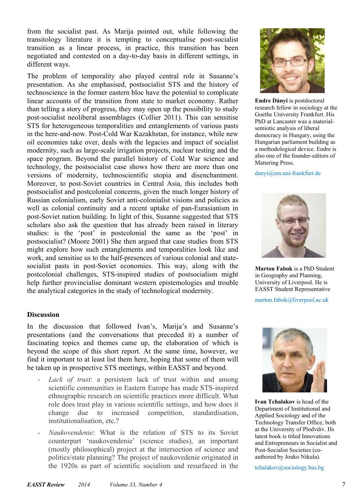from the socialist past. As Marija pointed out, while following the transitology literature it is tempting to conceptualise post-socialist transition as a linear process, in practice, this transition has been negotiated and contested on a day-to-day basis in different settings, in different ways.

The problem of temporality also played central role in Susanne's presentation. As she emphasised, postsocialist STS and the history of technoscience in the former eastern bloc have the potential to complicate linear accounts of the transition from state to market economy. Rather than telling a story of progress, they may open up the possibility to study post-socialist neoliberal assemblages (Collier 2011). This can sensitise STS for heterogeneous temporalities and entanglements of various pasts in the here-and-now. Post-Cold War Kazakhstan, for instance, while new oil economies take over, deals with the legacies and impact of socialist modernity, such as large-scale irrigation projects, nuclear testing and the space program. Beyond the parallel history of Cold War science and technology, the postsocialist case shows how there are more than one versions of modernity, technoscientific utopia and disenchantment. Moreover, to post-Soviet countries in Central Asia, this includes both postsocialist and postcolonial concerns, given the much longer history of Russian colonialism, early Soviet anti-colonialist visions and policies as well as colonial continuity and a recent uptake of pan-Eurasianism in post-Soviet nation building. In light of this, Susanne suggested that STS scholars also ask the question that has already been raised in literary studies: is the 'post' in postcolonial the same as the 'post' in postsocialist? (Moore 2001) She then argued that case studies from STS might explore how such entanglements and temporalities look like and work, and sensitise us to the half-presences of various colonial and statesocialist pasts in post-Soviet economies. This way, along with the postcolonial challenges, STS-inspired studies of postsocialism might help further provincialise dominant western epistemologies and trouble the analytical categories in the study of technological modernity.

#### **Discussion**

In the discussion that followed Ivan's, Marija's and Susanne's presentations (and the conversations that preceded it) a number of fascinating topics and themes came up, the elaboration of which is beyond the scope of this short report. At the same time, however, we find it important to at least list them here, hoping that some of them will be taken up in prospective STS meetings, within EASST and beyond.

- Lack of trust: a persistent lack of trust within and among scientific communities in Eastern Europe has made STS-inspired ethnographic research on scientific practices more difficult. What role does trust play in various scientific settings, and how does it change due to increased competition, standardisation, institutionalisation, etc.?
- *Naukovendenie*: What is the relation of STS to its Soviet counterpart 'naukovendenie' (science studies), an important (mostly philosophical) project at the intersection of science and politics/state planning? The project of naukovedenie originated in the 1920s as part of scientific socialism and resurfaced in the



**Endre Dányi** is postdoctoral research fellow in sociology at the Goethe University Frankfurt. His PhD at Lancaster was a materialsemiotic analysis of liberal democracy in Hungary, using the Hungarian parliament building as a methodological device. Endre is also one of the founder-editors of Mattering Press.

danyi@em.uni-frankfurt.de



**Marton Fabok** is a PhD Student in Geography and Planning, University of Liverpool. He is EASST Student Representative

marton.fabok@liverpool.ac.uk



**Ivan Tchalakov** is head of the Department of Institutional and Applied Sociology and of the Technology Transfer Office, both at the University of Plodvdiv. Hs latest book is titled Innovations and Entrepreneurs in Socialist and Post-Socialist Societies (coauthored by Jouko Nikula).

tchalakov@sociology.bas.bg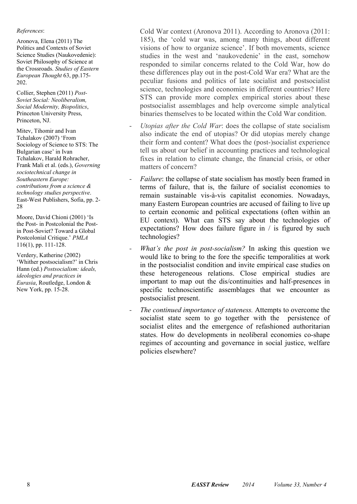#### *References*:

Aronova, Elena (2011) The Politics and Contexts of Soviet Science Studies (Naukovedenie): Soviet Philosophy of Science at the Crossroads. *Studies of Eastern European Thought* 63, pp.175- 202.

Collier, Stephen (2011) *Post-Soviet Social: Neoliberalism, Social Modernity, Biopolitics*, Princeton University Press, Princeton, NJ.

Mitev, Tihomir and Ivan Tchalakov (2007) 'From Sociology of Science to STS: The Bulgarian case' in Ivan Tchalakov, Harald Rohracher, Frank Mali et al. (eds.), *Governing sociotechnical change in Southeastern Europe: contributions from a science & technology studies perspective*. East-West Publishers, Sofia, pp. 2- 28

Moore, David Chioni (2001) 'Is the Post- in Postcolonial the Postin Post-Soviet? Toward a Global Postcolonial Critique.' *PMLA* 116(1), pp. 111-128.

Verdery, Katherine (2002) 'Whither postsocialism?' in Chris Hann (ed.) *Postsocialism: ideals, ideologies and practices in Eurasia*, Routledge, London & New York, pp. 15-28.

Cold War context (Aronova 2011). According to Aronova (2011: 185), the 'cold war was, among many things, about different visions of how to organize science'. If both movements, science studies in the west and 'naukovedenie' in the east, somehow responded to similar concerns related to the Cold War, how do these differences play out in the post-Cold War era? What are the peculiar fusions and politics of late socialist and postsocialist science, technologies and economies in different countries? Here STS can provide more complex empirical stories about these postsocialist assemblages and help overcome simple analytical binaries themselves to be located within the Cold War condition.

- *Utopias after the Cold War*: does the collapse of state socialism also indicate the end of utopias? Or did utopias merely change their form and content? What does the (post-)socialist experience tell us about our belief in accounting practices and technological fixes in relation to climate change, the financial crisis, or other matters of concern?
- *Failure*: the collapse of state socialism has mostly been framed in terms of failure, that is, the failure of socialist economies to remain sustainable vis-à-vis capitalist economies. Nowadays, many Eastern European countries are accused of failing to live up to certain economic and political expectations (often within an EU context). What can STS say about the technologies of expectations? How does failure figure in / is figured by such technologies?
- *What's the post in post-socialism?* In asking this question we would like to bring to the fore the specific temporalities at work in the postsocialist condition and invite empirical case studies on these heterogeneous relations. Close empirical studies are important to map out the dis/continuities and half-presences in specific technoscientific assemblages that we encounter as postsocialist present.
- *The continued importance of stateness.* Attempts to overcome the socialist state seem to go together with the persistence of socialist elites and the emergence of refashioned authoritarian states. How do developments in neoliberal economies co-shape regimes of accounting and governance in social justice, welfare policies elsewhere?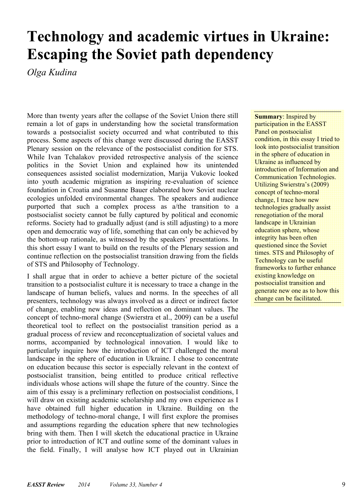### **Technology and academic virtues in Ukraine: Escaping the Soviet path dependency**

*Olga Kudina* 

More than twenty years after the collapse of the Soviet Union there still remain a lot of gaps in understanding how the societal transformation towards a postsocialist society occurred and what contributed to this process. Some aspects of this change were discussed during the EASST Plenary session on the relevance of the postsocialist condition for STS. While Ivan Tchalakov provided retrospective analysis of the science politics in the Soviet Union and explained how its unintended consequences assisted socialist modernization, Marija Vukovic looked into youth academic migration as inspiring re-evaluation of science foundation in Croatia and Susanne Bauer elaborated how Soviet nuclear ecologies unfolded environmental changes. The speakers and audience purported that such a complex process as a/the transition to a postsocialist society cannot be fully captured by political and economic reforms. Society had to gradually adjust (and is still adjusting) to a more open and democratic way of life, something that can only be achieved by the bottom-up rationale, as witnessed by the speakers' presentations. In this short essay I want to build on the results of the Plenary session and continue reflection on the postsocialist transition drawing from the fields of STS and Philosophy of Technology.

I shall argue that in order to achieve a better picture of the societal transition to a postsocialist culture it is necessary to trace a change in the landscape of human beliefs, values and norms. In the speeches of all presenters, technology was always involved as a direct or indirect factor of change, enabling new ideas and reflection on dominant values. The concept of techno-moral change (Swierstra et al., 2009) can be a useful theoretical tool to reflect on the postsocialist transition period as a gradual process of review and reconceptualization of societal values and norms, accompanied by technological innovation. I would like to particularly inquire how the introduction of ICT challenged the moral landscape in the sphere of education in Ukraine. I chose to concentrate on education because this sector is especially relevant in the context of postsocialist transition, being entitled to produce critical reflective individuals whose actions will shape the future of the country. Since the aim of this essay is a preliminary reflection on postsocialist conditions, I will draw on existing academic scholarship and my own experience as I have obtained full higher education in Ukraine. Building on the methodology of techno-moral change, I will first explore the promises and assumptions regarding the education sphere that new technologies bring with them. Then I will sketch the educational practice in Ukraine prior to introduction of ICT and outline some of the dominant values in the field. Finally, I will analyse how ICT played out in Ukrainian **Summary**: Inspired by participation in the EASST Panel on postsocialist condition, in this essay I tried to look into postsocialist transition in the sphere of education in Ukraine as influenced by introduction of Information and Communication Technologies. Utilizing Swierstra's (2009) concept of techno-moral change, I trace how new technologies gradually assist renegotiation of the moral landscape in Ukrainian education sphere, whose integrity has been often questioned since the Soviet times. STS and Philosophy of Technology can be useful frameworks to further enhance existing knowledge on postsocialist transition and generate new one as to how this change can be facilitated.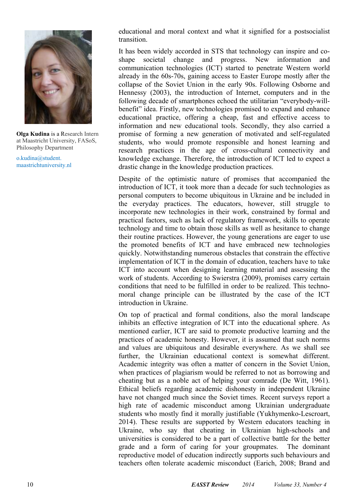

**Olga Kudina** is a Research Intern at Maastricht University, FASoS, Philosophy Department

o.kudina@student. maastrichtuniversity.nl educational and moral context and what it signified for a postsocialist transition.

It has been widely accorded in STS that technology can inspire and coshape societal change and progress. New information and communication technologies (ICT) started to penetrate Western world already in the 60s-70s, gaining access to Easter Europe mostly after the collapse of the Soviet Union in the early 90s. Following Osborne and Hennessy (2003), the introduction of Internet, computers and in the following decade of smartphones echoed the utilitarian "everybody-willbenefit" idea. Firstly, new technologies promised to expand and enhance educational practice, offering a cheap, fast and effective access to information and new educational tools. Secondly, they also carried a promise of forming a new generation of motivated and self-regulated students, who would promote responsible and honest learning and research practices in the age of cross-cultural connectivity and knowledge exchange. Therefore, the introduction of ICT led to expect a drastic change in the knowledge production practices.

Despite of the optimistic nature of promises that accompanied the introduction of ICT, it took more than a decade for such technologies as personal computers to become ubiquitous in Ukraine and be included in the everyday practices. The educators, however, still struggle to incorporate new technologies in their work, constrained by formal and practical factors, such as lack of regulatory framework, skills to operate technology and time to obtain those skills as well as hesitance to change their routine practices. However, the young generations are eager to use the promoted benefits of ICT and have embraced new technologies quickly. Notwithstanding numerous obstacles that constrain the effective implementation of ICT in the domain of education, teachers have to take ICT into account when designing learning material and assessing the work of students. According to Swierstra (2009), promises carry certain conditions that need to be fulfilled in order to be realized. This technomoral change principle can be illustrated by the case of the ICT introduction in Ukraine.

On top of practical and formal conditions, also the moral landscape inhibits an effective integration of ICT into the educational sphere. As mentioned earlier, ICT are said to promote productive learning and the practices of academic honesty. However, it is assumed that such norms and values are ubiquitous and desirable everywhere. As we shall see further, the Ukrainian educational context is somewhat different. Academic integrity was often a matter of concern in the Soviet Union, when practices of plagiarism would be referred to not as borrowing and cheating but as a noble act of helping your comrade (De Witt, 1961). Ethical beliefs regarding academic dishonesty in independent Ukraine have not changed much since the Soviet times. Recent surveys report a high rate of academic misconduct among Ukrainian undergraduate students who mostly find it morally justifiable (Yukhymenko-Lescroart, 2014). These results are supported by Western educators teaching in Ukraine, who say that cheating in Ukrainian high-schools and universities is considered to be a part of collective battle for the better grade and a form of caring for your groupmates. The dominant reproductive model of education indirectly supports such behaviours and teachers often tolerate academic misconduct (Earich, 2008; Brand and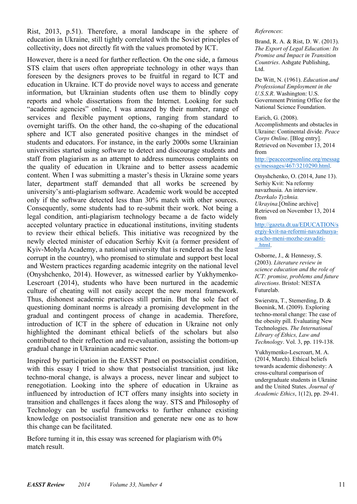Rist, 2013, p.51). Therefore, a moral landscape in the sphere of education in Ukraine, still tightly correlated with the Soviet principles of collectivity, does not directly fit with the values promoted by ICT.

However, there is a need for further reflection. On the one side, a famous STS claim that users often appropriate technology in other ways than foreseen by the designers proves to be fruitful in regard to ICT and education in Ukraine. ICT do provide novel ways to access and generate information, but Ukrainian students often use them to blindly copy reports and whole dissertations from the Internet. Looking for such "academic agencies" online, I was amazed by their number, range of services and flexible payment options, ranging from standard to overnight tariffs. On the other hand, the co-shaping of the educational sphere and ICT also generated positive changes in the mindset of students and educators. For instance, in the early 2000s some Ukrainian universities started using software to detect and discourage students and staff from plagiarism as an attempt to address numerous complaints on the quality of education in Ukraine and to better assess academic content. When I was submitting a master's thesis in Ukraine some years later, department staff demanded that all works be screened by university's anti-plagiarism software. Academic work would be accepted only if the software detected less than 30% match with other sources. Consequently, some students had to re-submit their work. Not being a legal condition, anti-plagiarism technology became a de facto widely accepted voluntary practice in educational institutions, inviting students to review their ethical beliefs. This initiative was recognized by the newly elected minister of education Serhiy Kvit (a former president of Kyiv-Mohyla Academy, a national university that is rendered as the least corrupt in the country), who promised to stimulate and support best local and Western practices regarding academic integrity on the national level (Onyshchenko, 2014). However, as witnessed earlier by Yukhymenko-Lescroart (2014), students who have been nurtured in the academic culture of cheating will not easily accept the new moral framework. Thus, dishonest academic practices still pertain. But the sole fact of questioning dominant norms is already a promising development in the gradual and contingent process of change in academia. Therefore, introduction of ICT in the sphere of education in Ukraine not only highlighted the dominant ethical beliefs of the scholars but also contributed to their reflection and re-evaluation, assisting the bottom-up gradual change in Ukrainian academic sector.

Inspired by participation in the EASST Panel on postsocialist condition, with this essay I tried to show that postsocialist transition, just like techno-moral change, is always a process, never linear and subject to renegotiation. Looking into the sphere of education in Ukraine as influenced by introduction of ICT offers many insights into society in transition and challenges it faces along the way. STS and Philosophy of Technology can be useful frameworks to further enhance existing knowledge on postsocialist transition and generate new one as to how this change can be facilitated.

Before turning it in, this essay was screened for plagiarism with  $0\%$ match result.

#### *References*:

Brand, R. A. & Rist, D. W. (2013). *The Export of Legal Education: Its Promise and Impact in Transition Countries*. Ashgate Publishing, Ltd.

De Witt, N. (1961). *Education and Professional Employment in the U.S.S.R*. Washington: U.S. Government Printing Office for the National Science Foundation.

Earich, G. (2008).

Accomplishments and obstacles in Ukraine: Continental divide. *Peace Corps Online*. [Blog entry]. Retrieved on November 13, 2014 from

http://peacecorpsonline.org/messag es/messages/467/3210290.html.

Onyshchenko, O. (2014, June 13). Serhiy Kvit: Na reformy navazhusia. An interview. *Dzerkalo Tyzhnia. Ukrayina*.[Online archive] Retrieved on November 13, 2014 from

http://gazeta.dt.ua/EDUCATION/s ergiy-kvit-na-reformi-navazhusyaa-scho-meni-mozhe-zavaditi- \_.html.

Osborne, J., & Hennessy, S. (2003). *Literature review in science education and the role of ICT: promise, problems and future directions*. Bristol: NESTA Futurelab.

Swierstra, T., Stemerding, D. & Boenink, M. (2009). Exploring techno-moral change: The case of the obesity pill. Evaluating New Technologies. *The International Library of Ethics, Law and Technology*. Vol. 3, pp. 119-138.

Yukhymenko-Lescroart, M. A. (2014, March). Ethical beliefs towards academic dishonesty: A cross-cultural comparison of undergraduate students in Ukraine and the United States. *Journal of Academic Ethics*, 1(12), pp. 29-41.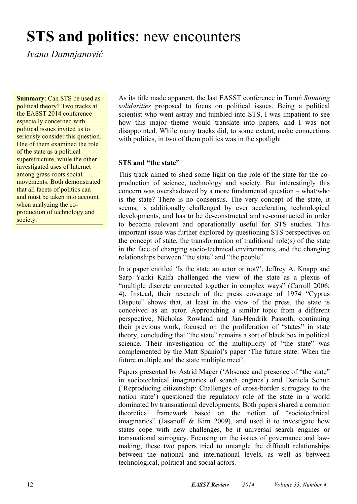### **STS and politics**: new encounters

*Ivana Damnjanović*

**Summary: Can STS be used as** political theory? Two tracks at the EASST 2014 conference especially concerned with political issues invited us to seriously consider this question. One of them examined the role of the state as a political superstructure, while the other investigated uses of Internet among grass-roots social movements. Both demonstrated that all facets of politics can and must be taken into account when analyzing the coproduction of technology and society.

As its title made apparent, the last EASST conference in Toruń *Situating solidarities* proposed to focus on political issues. Being a political scientist who went astray and tumbled into STS, I was impatient to see how this major theme would translate into papers, and I was not disappointed. While many tracks did, to some extent, make connections with politics, in two of them politics was in the spotlight.

#### **STS and "the state"**

This track aimed to shed some light on the role of the state for the coproduction of science, technology and society. But interestingly this concern was overshadowed by a more fundamental question – what/who is the state? There is no consensus. The very concept of the state, it seems, is additionally challenged by ever accelerating technological developments, and has to be de-constructed and re-constructed in order to become relevant and operationally useful for STS studies. This important issue was further explored by questioning STS perspectives on the concept of state, the transformation of traditional role(s) of the state in the face of changing socio-technical environments, and the changing relationships between "the state" and "the people".

In a paper entitled 'Is the state an actor or not?', Jeffrey A. Knapp and Sarp Yanki Kalfa challenged the view of the state as a plexus of "multiple discrete connected together in complex ways" (Carroll 2006: 4). Instead, their research of the press coverage of 1974 "Cyprus Dispute" shows that, at least in the view of the press, the state is conceived as an actor. Approaching a similar topic from a different perspective, Nicholas Rowland and Jan-Hendrik Passoth, continuing their previous work, focused on the proliferation of "states" in state theory, concluding that "the state" remains a sort of black box in political science. Their investigation of the multiplicity of "the state" was complemented by the Matt Spaniol's paper 'The future state: When the future multiple and the state multiple meet'.

Papers presented by Astrid Mager ('Absence and presence of "the state" in sociotechnical imaginaries of search engines') and Daniela Schuh ('Reproducing citizenship: Challenges of cross-border surrogacy to the nation state') questioned the regulatory role of the state in a world dominated by transnational developments. Both papers shared a common theoretical framework based on the notion of "sociotechnical imaginaries" (Jasanoff & Kim 2009), and used it to investigate how states cope with new challenges, be it universal search engines or transnational surrogacy. Focusing on the issues of governance and lawmaking, these two papers tried to untangle the difficult relationships between the national and international levels, as well as between technological, political and social actors.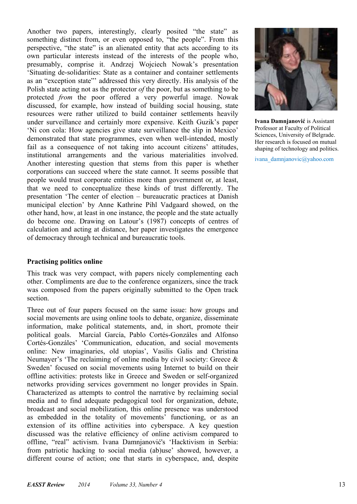Another two papers, interestingly, clearly posited "the state" as something distinct from, or even opposed to, "the people". From this perspective, "the state" is an alienated entity that acts according to its own particular interests instead of the interests of the people who, presumably, comprise it. Andrzej Wojciech Nowak's presentation 'Situating de-solidarities: State as a container and container settlements as an "exception state"' addressed this very directly. His analysis of the Polish state acting not as the protector *of* the poor, but as something to be protected *from* the poor offered a very powerful image. Nowak discussed, for example, how instead of building social housing, state resources were rather utilized to build container settlements heavily under surveillance and certainly more expensive. Keith Guzik's paper 'Ni con cola: How agencies give state surveillance the slip in Mexico' demonstrated that state programmes, even when well-intended, mostly fail as a consequence of not taking into account citizens' attitudes, institutional arrangements and the various materialities involved. Another interesting question that stems from this paper is whether corporations can succeed where the state cannot. It seems possible that people would trust corporate entities more than government or, at least, that we need to conceptualize these kinds of trust differently. The presentation 'The center of election – bureaucratic practices at Danish municipal election' by Anne Kathrine Pihl Vadgaard showed, on the other hand, how, at least in one instance, the people and the state actually do become one. Drawing on Latour's (1987) concepts of centres of calculation and acting at distance, her paper investigates the emergence of democracy through technical and bureaucratic tools.

#### **Practising politics online**

This track was very compact, with papers nicely complementing each other. Compliments are due to the conference organizers, since the track was composed from the papers originally submitted to the Open track section.

Three out of four papers focused on the same issue: how groups and social movements are using online tools to debate, organize, disseminate information, make political statements, and, in short, promote their political goals. Marcial García, Pablo Cortés-Gonzáles and Alfonso Cortés-Gonzáles' 'Communication, education, and social movements online: New imaginaries, old utopias', Vasilis Galis and Christina Neumayer's 'The reclaiming of online media by civil society: Greece  $\&$ Sweden' focused on social movements using Internet to build on their offline activities: protests like in Greece and Sweden or self-organized networks providing services government no longer provides in Spain. Characterized as attempts to control the narrative by reclaiming social media and to find adequate pedagogical tool for organization, debate, broadcast and social mobilization, this online presence was understood as embedded in the totality of movements' functioning, or as an extension of its offline activities into cyberspace. A key question discussed was the relative efficiency of online activism compared to offline, "real" activism. Ivana Damnjanović's 'Hacktivism in Serbia: from patriotic hacking to social media (ab)use' showed, however, a different course of action; one that starts in cyberspace, and, despite



**Ivana Damnjanović** is Assistant Professor at Faculty of Political Sciences, University of Belgrade. Her research is focused on mutual shaping of technology and politics.

ivana\_damnjanovic@yahoo.com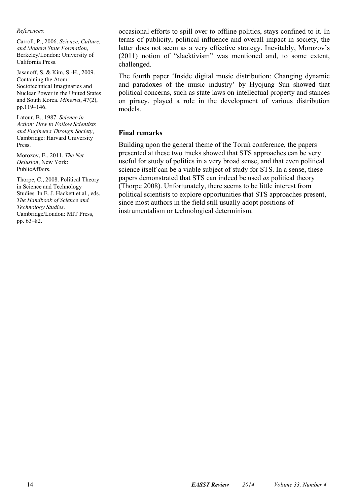*References*:

Carroll, P., 2006. *Science, Culture, and Modern State Formation*, Berkeley/London: University of California Press.

Jasanoff, S. & Kim, S.-H., 2009. Containing the Atom: Sociotechnical Imaginaries and Nuclear Power in the United States and South Korea. *Minerva*, 47(2), pp.119–146.

Latour, B., 1987. *Science in Action: How to Follow Scientists and Engineers Through Society*, Cambridge: Harvard University Press.

Morozov, E., 2011. *The Net Delusion*, New York: PublicAffairs.

Thorpe, C., 2008. Political Theory in Science and Technology Studies. In E. J. Hackett et al., eds. *The Handbook of Science and Technology Studies*. Cambridge/London: MIT Press, pp. 63–82.

occasional efforts to spill over to offline politics, stays confined to it. In terms of publicity, political influence and overall impact in society, the latter does not seem as a very effective strategy. Inevitably, Morozov's (2011) notion of "slacktivism" was mentioned and, to some extent, challenged.

The fourth paper 'Inside digital music distribution: Changing dynamic and paradoxes of the music industry' by Hyojung Sun showed that political concerns, such as state laws on intellectual property and stances on piracy, played a role in the development of various distribution models.

#### **Final remarks**

Building upon the general theme of the Toruń conference, the papers presented at these two tracks showed that STS approaches can be very useful for study of politics in a very broad sense, and that even political science itself can be a viable subject of study for STS. In a sense, these papers demonstrated that STS can indeed be used *as* political theory (Thorpe 2008). Unfortunately, there seems to be little interest from political scientists to explore opportunities that STS approaches present, since most authors in the field still usually adopt positions of instrumentalism or technological determinism.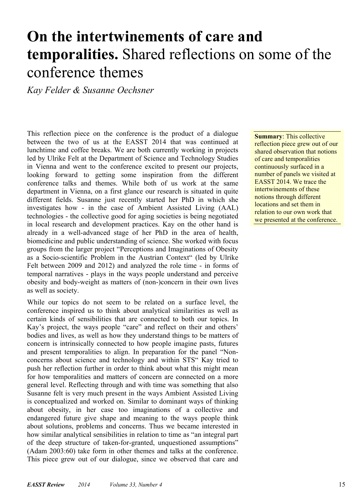# **On the intertwinements of care and temporalities.** Shared reflections on some of the conference themes

*Kay Felder & Susanne Oechsner* 

This reflection piece on the conference is the product of a dialogue between the two of us at the EASST 2014 that was continued at lunchtime and coffee breaks. We are both currently working in projects led by Ulrike Felt at the Department of Science and Technology Studies in Vienna and went to the conference excited to present our projects, looking forward to getting some inspiration from the different conference talks and themes. While both of us work at the same department in Vienna, on a first glance our research is situated in quite different fields. Susanne just recently started her PhD in which she investigates how - in the case of Ambient Assisted Living (AAL) technologies - the collective good for aging societies is being negotiated in local research and development practices. Kay on the other hand is already in a well-advanced stage of her PhD in the area of health, biomedicine and public understanding of science. She worked with focus groups from the larger project "Perceptions and Imaginations of Obesity as a Socio-scientific Problem in the Austrian Context" (led by Ulrike Felt between 2009 and 2012) and analyzed the role time - in forms of temporal narratives - plays in the ways people understand and perceive obesity and body-weight as matters of (non-)concern in their own lives as well as society.

While our topics do not seem to be related on a surface level, the conference inspired us to think about analytical similarities as well as certain kinds of sensibilities that are connected to both our topics. In Kay's project, the ways people "care" and reflect on their and others' bodies and lives, as well as how they understand things to be matters of concern is intrinsically connected to how people imagine pasts, futures and present temporalities to align. In preparation for the panel "Nonconcerns about science and technology and within STS" Kay tried to push her reflection further in order to think about what this might mean for how temporalities and matters of concern are connected on a more general level. Reflecting through and with time was something that also Susanne felt is very much present in the ways Ambient Assisted Living is conceptualized and worked on. Similar to dominant ways of thinking about obesity, in her case too imaginations of a collective and endangered future give shape and meaning to the ways people think about solutions, problems and concerns. Thus we became interested in how similar analytical sensibilities in relation to time as "an integral part of the deep structure of taken-for-granted, unquestioned assumptions" (Adam 2003:60) take form in other themes and talks at the conference. This piece grew out of our dialogue, since we observed that care and **Summary**: This collective reflection piece grew out of our shared observation that notions of care and temporalities continuously surfaced in a number of panels we visited at EASST 2014. We trace the intertwinements of these notions through different locations and set them in relation to our own work that we presented at the conference.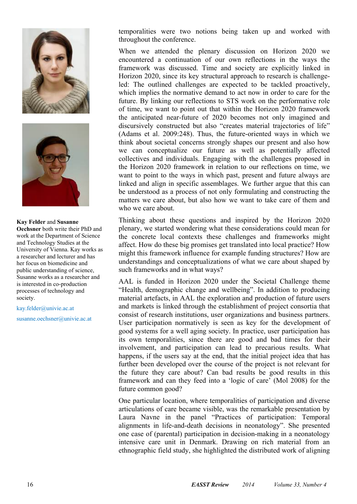



#### **Kay Felder** and **Susanne**

**Oechsner** both write their PhD and work at the Department of Science and Technology Studies at the University of Vienna. Kay works as a researcher and lecturer and has her focus on biomedicine and public understanding of science, Susanne works as a researcher and is interested in co-production processes of technology and society.

kay.felder@univie.ac.at

susanne.oechsner@univie.ac.at

temporalities were two notions being taken up and worked with throughout the conference.

When we attended the plenary discussion on Horizon 2020 we encountered a continuation of our own reflections in the ways the framework was discussed. Time and society are explicitly linked in Horizon 2020, since its key structural approach to research is challengeled: The outlined challenges are expected to be tackled proactively, which implies the normative demand to act now in order to care for the future. By linking our reflections to STS work on the performative role of time, we want to point out that within the Horizon 2020 framework the anticipated near-future of 2020 becomes not only imagined and discursively constructed but also "creates material trajectories of life" (Adams et al. 2009:248). Thus, the future-oriented ways in which we think about societal concerns strongly shapes our present and also how we can conceptualize our future as well as potentially affected collectives and individuals. Engaging with the challenges proposed in the Horizon 2020 framework in relation to our reflections on time, we want to point to the ways in which past, present and future always are linked and align in specific assemblages. We further argue that this can be understood as a process of not only formulating and constructing the matters we care about, but also how we want to take care of them and who we care about.

Thinking about these questions and inspired by the Horizon 2020 plenary, we started wondering what these considerations could mean for the concrete local contexts these challenges and frameworks might affect. How do these big promises get translated into local practice? How might this framework influence for example funding structures? How are understandings and conceptualizations of what we care about shaped by such frameworks and in what ways?

AAL is funded in Horizon 2020 under the Societal Challenge theme "Health, demographic change and wellbeing". In addition to producing material artefacts, in AAL the exploration and production of future users and markets is linked through the establishment of project consortia that consist of research institutions, user organizations and business partners. User participation normatively is seen as key for the development of good systems for a well aging society. In practice, user participation has its own temporalities, since there are good and bad times for their involvement, and participation can lead to precarious results. What happens, if the users say at the end, that the initial project idea that has further been developed over the course of the project is not relevant for the future they care about? Can bad results be good results in this framework and can they feed into a 'logic of care' (Mol 2008) for the future common good?

One particular location, where temporalities of participation and diverse articulations of care became visible, was the remarkable presentation by Laura Navne in the panel "Practices of participation: Temporal alignments in life-and-death decisions in neonatology". She presented one case of (parental) participation in decision-making in a neonatology intensive care unit in Denmark. Drawing on rich material from an ethnographic field study, she highlighted the distributed work of aligning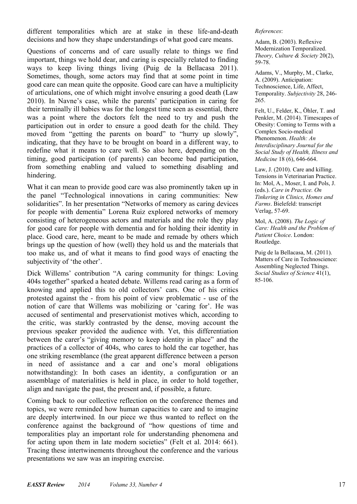different temporalities which are at stake in these life-and-death decisions and how they shape understandings of what good care means.

Questions of concerns and of care usually relate to things we find important, things we hold dear, and caring is especially related to finding ways to keep living things living (Puig de la Bellacasa 2011). Sometimes, though, some actors may find that at some point in time good care can mean quite the opposite. Good care can have a multiplicity of articulations, one of which might involve ensuring a good death (Law 2010). In Navne's case, while the parents' participation in caring for their terminally ill babies was for the longest time seen as essential, there was a point where the doctors felt the need to try and push the participation out in order to ensure a good death for the child. They moved from "getting the parents on board" to "hurry up slowly", indicating, that they have to be brought on board in a different way, to redefine what it means to care well. So also here, depending on the timing, good participation (of parents) can become bad participation, from something enabling and valued to something disabling and hindering.

What it can mean to provide good care was also prominently taken up in the panel "Technological innovations in caring communities: New solidarities". In her presentation "Networks of memory as caring devices for people with dementia" Lorena Ruiz explored networks of memory consisting of heterogeneous actors and materials and the role they play for good care for people with dementia and for holding their identity in place. Good care, here, meant to be made and remade by others which brings up the question of how (well) they hold us and the materials that too make us, and of what it means to find good ways of enacting the subjectivity of 'the other'.

Dick Willems' contribution "A caring community for things: Loving 404s together" sparked a heated debate. Willems read caring as a form of knowing and applied this to old collectors' cars. One of his critics protested against the - from his point of view problematic - use of the notion of care that Willems was mobilizing or 'caring for'. He was accused of sentimental and preservationist motives which, according to the critic, was starkly contrasted by the dense, moving account the previous speaker provided the audience with. Yet, this differentiation between the carer's "giving memory to keep identity in place" and the practices of a collector of 404s, who cares to hold the car together, has one striking resemblance (the great apparent difference between a person in need of assistance and a car and one's moral obligations notwithstanding): In both cases an identity, a configuration or an assemblage of materialities is held in place, in order to hold together, align and navigate the past, the present and, if possible, a future.

Coming back to our collective reflection on the conference themes and topics, we were reminded how human capacities to care and to imagine are deeply intertwined. In our piece we thus wanted to reflect on the conference against the background of "how questions of time and temporalities play an important role for understanding phenomena and for acting upon them in late modern societies" (Felt et al. 2014: 661). Tracing these intertwinements throughout the conference and the various presentations we saw was an inspiring exercise.

*References*:

Adam, B. (2003). Reflexive Modernization Temporalized. *Theory, Culture & Society* 20(2), 59-78.

Adams, V., Murphy, M., Clarke, A. (2009). Anticipation: Technoscience, Life, Affect, Temporality. *Subjectivity* 28, 246- 265.

Felt, U., Felder, K., Öhler, T. and Penkler, M. (2014). Timescapes of Obesity: Coming to Terms with a Complex Socio-medical Phenomenon. *Health: An Interdisciplinary Journal for the Social Study of Health, Illness and Medicine* 18 (6), 646-664.

Law, J. (2010). Care and killing. Tensions in Veterinarian Practice. In: Mol, A., Moser, I. and Pols, J. (eds.). *Care in Practice. On Tinkering in Clinics, Homes and Farms*. Bielefeld: transcript Verlag, 57-69.

Mol, A. (2008). *The Logic of Care: Health and the Problem of Patient Choice*. London: Routledge.

Puig de la Bellacasa, M. (2011). Matters of Care in Technoscience: Assembling Neglected Things. *Social Studies of Science* 41(1), 85-106.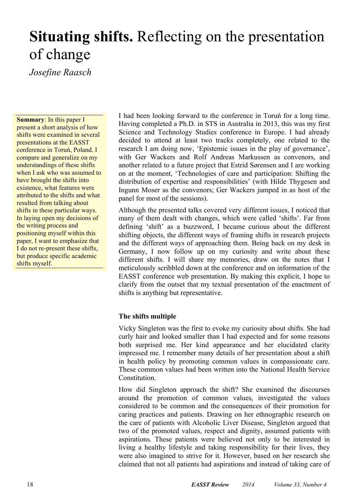## **Situating shifts.** Reflecting on the presentation of change

*Josefine Raasch* 

**Summary**: In this paper I present a short analysis of how shifts were examined in several presentations at the EASST conference in Toruń, Poland. I compare and generalize on my understandings of these shifts when I ask who was assumed to have brought the shifts into existence, what features were attributed to the shifts and what resulted from talking about shifts in these particular ways. In laying open my decisions of the writing process and positioning myself within this paper, I want to emphasize that I do not re-present these shifts, but produce specific academic shifts myself.

I had been looking forward to the conference in Toruń for a long time. Having completed a Ph.D. in STS in Australia in 2013, this was my first Science and Technology Studies conference in Europe. I had already decided to attend at least two tracks completely, one related to the research I am doing now, 'Epistemic issues in the play of governance', with Ger Wackers and Rolf Andreas Markussen as convenors, and another related to a future project that Estrid Sørensen and I are working on at the moment, 'Technologies of care and participation: Shifting the distribution of expertise and responsibilities' (with Hilde Thygesen and Ingunn Moser as the convenors; Ger Wackers jumped in as host of the panel for most of the sessions).

Although the presented talks covered very different issues, I noticed that many of them dealt with changes, which were called 'shifts'. Far from defining 'shift' as a buzzword, I became curious about the different shifting objects, the different ways of framing shifts in research projects and the different ways of approaching them. Being back on my desk in Germany, I now follow up on my curiosity and write about these different shifts. I will share my memories, draw on the notes that I meticulously scribbled down at the conference and on information of the EASST conference web presentation. By making this explicit, I hope to clarify from the outset that my textual presentation of the enactment of shifts is anything but representative.

#### **The shifts multiple**

Vicky Singleton was the first to evoke my curiosity about shifts. She had curly hair and looked smaller than I had expected and for some reasons both surprised me. Her kind appearance and her elucidated clarity impressed me. I remember many details of her presentation about a shift in health policy by promoting common values in compassionate care. These common values had been written into the National Health Service **Constitution** 

How did Singleton approach the shift? She examined the discourses around the promotion of common values, investigated the values considered to be common and the consequences of their promotion for caring practices and patients. Drawing on her ethnographic research on the care of patients with Alcoholic Liver Disease, Singleton argued that two of the promoted values, respect and dignity, assumed patients with aspirations. These patients were believed not only to be interested in living a healthy lifestyle and taking responsibility for their lives, they were also imagined to strive for it. However, based on her research she claimed that not all patients had aspirations and instead of taking care of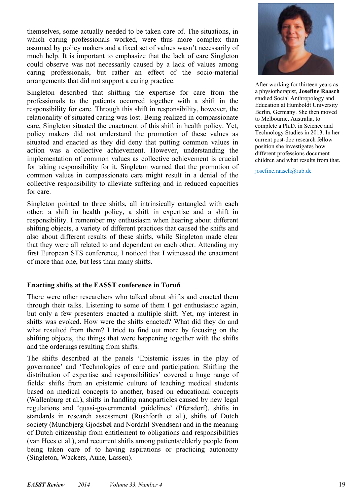themselves, some actually needed to be taken care of. The situations, in which caring professionals worked, were thus more complex than assumed by policy makers and a fixed set of values wasn't necessarily of much help. It is important to emphasize that the lack of care Singleton could observe was not necessarily caused by a lack of values among caring professionals, but rather an effect of the socio-material arrangements that did not support a caring practice.

Singleton described that shifting the expertise for care from the professionals to the patients occurred together with a shift in the responsibility for care. Through this shift in responsibility, however, the relationality of situated caring was lost. Being realized in compassionate care, Singleton situated the enactment of this shift in health policy. Yet, policy makers did not understand the promotion of these values as situated and enacted as they did deny that putting common values in action was a collective achievement. However, understanding the implementation of common values as collective achievement is crucial for taking responsibility for it. Singleton warned that the promotion of common values in compassionate care might result in a denial of the collective responsibility to alleviate suffering and in reduced capacities for care.

Singleton pointed to three shifts, all intrinsically entangled with each other: a shift in health policy, a shift in expertise and a shift in responsibility. I remember my enthusiasm when hearing about different shifting objects, a variety of different practices that caused the shifts and also about different results of these shifts, while Singleton made clear that they were all related to and dependent on each other. Attending my first European STS conference, I noticed that I witnessed the enactment of more than one, but less than many shifts.

#### **Enacting shifts at the EASST conference in Toruń**

There were other researchers who talked about shifts and enacted them through their talks. Listening to some of them I got enthusiastic again, but only a few presenters enacted a multiple shift. Yet, my interest in shifts was evoked. How were the shifts enacted? What did they do and what resulted from them? I tried to find out more by focusing on the shifting objects, the things that were happening together with the shifts and the orderings resulting from shifts.

The shifts described at the panels 'Epistemic issues in the play of governance' and 'Technologies of care and participation: Shifting the distribution of expertise and responsibilities' covered a huge range of fields: shifts from an epistemic culture of teaching medical students based on medical concepts to another, based on educational concepts (Wallenburg et al.), shifts in handling nanoparticles caused by new legal regulations and 'quasi-governmental guidelines' (Pfersdorf), shifts in standards in research assessment (Rushforth et al.), shifts of Dutch society (Mundbjerg Gjodsbøl and Nordahl Svendsen) and in the meaning of Dutch citizenship from entitlement to obligations and responsibilities (van Hees et al.), and recurrent shifts among patients/elderly people from being taken care of to having aspirations or practicing autonomy (Singleton, Wackers, Aune, Lassen).



After working for thirteen years as a physiotherapist, **Josefine Raasch**  studied Social Anthropology and Education at Humboldt University Berlin, Germany. She then moved to Melbourne, Australia, to complete a Ph.D. in Science and Technology Studies in 2013. In her current post-doc research fellow position she investigates how different professions document children and what results from that.

josefine.raasch@rub.de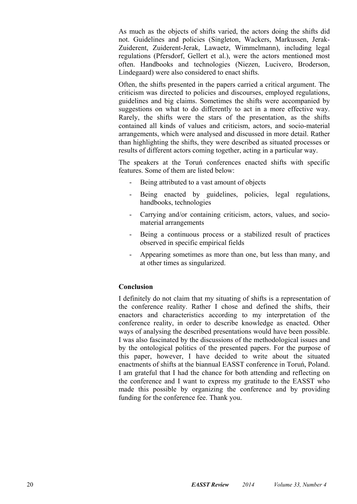As much as the objects of shifts varied, the actors doing the shifts did not. Guidelines and policies (Singleton, Wackers, Markussen, Jerak-Zuiderent, Zuiderent-Jerak, Lawaetz, Wimmelmann), including legal regulations (Pfersdorf, Gellert et al.), were the actors mentioned most often. Handbooks and technologies (Niezen, Lucivero, Broderson, Lindegaard) were also considered to enact shifts.

Often, the shifts presented in the papers carried a critical argument. The criticism was directed to policies and discourses, employed regulations, guidelines and big claims. Sometimes the shifts were accompanied by suggestions on what to do differently to act in a more effective way. Rarely, the shifts were the stars of the presentation, as the shifts contained all kinds of values and criticism, actors, and socio-material arrangements, which were analysed and discussed in more detail. Rather than highlighting the shifts, they were described as situated processes or results of different actors coming together, acting in a particular way.

The speakers at the Toruń conferences enacted shifts with specific features. Some of them are listed below:

- Being attributed to a vast amount of objects
- Being enacted by guidelines, policies, legal regulations, handbooks, technologies
- Carrying and/or containing criticism, actors, values, and sociomaterial arrangements
- Being a continuous process or a stabilized result of practices observed in specific empirical fields
- Appearing sometimes as more than one, but less than many, and at other times as singularized.

#### **Conclusion**

I definitely do not claim that my situating of shifts is a representation of the conference reality. Rather I chose and defined the shifts, their enactors and characteristics according to my interpretation of the conference reality, in order to describe knowledge as enacted. Other ways of analysing the described presentations would have been possible. I was also fascinated by the discussions of the methodological issues and by the ontological politics of the presented papers. For the purpose of this paper, however, I have decided to write about the situated enactments of shifts at the biannual EASST conference in Toruń, Poland. I am grateful that I had the chance for both attending and reflecting on the conference and I want to express my gratitude to the EASST who made this possible by organizing the conference and by providing funding for the conference fee. Thank you.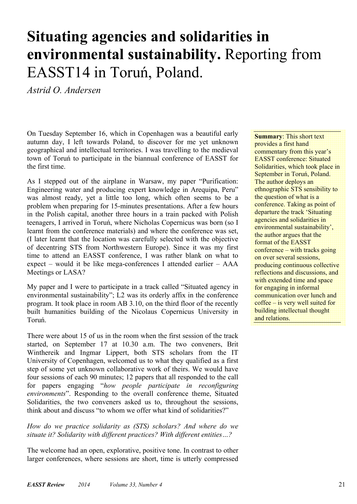# **Situating agencies and solidarities in environmental sustainability.** Reporting from EASST14 in Toruń, Poland.

*Astrid O. Andersen* 

On Tuesday September 16, which in Copenhagen was a beautiful early autumn day, I left towards Poland, to discover for me yet unknown geographical and intellectual territories. I was travelling to the medieval town of Toruń to participate in the biannual conference of EASST for the first time.

As I stepped out of the airplane in Warsaw, my paper "Purification: Engineering water and producing expert knowledge in Arequipa, Peru" was almost ready, yet a little too long, which often seems to be a problem when preparing for 15-minutes presentations. After a few hours in the Polish capital, another three hours in a train packed with Polish teenagers, I arrived in Toruń, where Nicholas Copernicus was born (so I learnt from the conference materials) and where the conference was set, (I later learnt that the location was carefully selected with the objective of decentring STS from Northwestern Europe). Since it was my first time to attend an EASST conference, I was rather blank on what to expect – would it be like mega-conferences I attended earlier – AAA Meetings or LASA?

My paper and I were to participate in a track called "Situated agency in environmental sustainability"; L2 was its orderly affix in the conference program. It took place in room AB 3.10, on the third floor of the recently built humanities building of the Nicolaus Copernicus University in Toruń.

There were about 15 of us in the room when the first session of the track started, on September 17 at 10.30 a.m. The two conveners, Brit Winthereik and Ingmar Lippert, both STS scholars from the IT University of Copenhagen, welcomed us to what they qualified as a first step of some yet unknown collaborative work of theirs. We would have four sessions of each 90 minutes; 12 papers that all responded to the call for papers engaging "*how people participate in reconfiguring environments*". Responding to the overall conference theme, Situated Solidarities, the two conveners asked us to, throughout the sessions, think about and discuss "to whom we offer what kind of solidarities?"

#### *How do we practice solidarity as (STS) scholars? And where do we situate it? Solidarity with different practices? With different entities…?*

The welcome had an open, explorative, positive tone. In contrast to other larger conferences, where sessions are short, time is utterly compressed **Summary**: This short text provides a first hand commentary from this year's EASST conference: Situated Solidarities, which took place in September in Toruń, Poland. The author deploys an ethnographic STS sensibility to the question of what is a conference. Taking as point of departure the track 'Situating agencies and solidarities in environmental sustainability', the author argues that the format of the EASST conference – with tracks going on over several sessions, producing continuous collective reflections and discussions, and with extended time and space for engaging in informal communication over lunch and coffee – is very well suited for building intellectual thought and relations.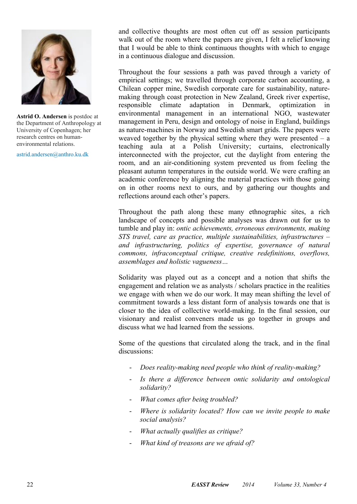

**Astrid O. Andersen** is postdoc at the Department of Anthropology at University of Copenhagen; her research centres on humanenvironmental relations.

astrid.andersen@anthro.ku.dk

and collective thoughts are most often cut off as session participants walk out of the room where the papers are given, I felt a relief knowing that I would be able to think continuous thoughts with which to engage in a continuous dialogue and discussion.

Throughout the four sessions a path was paved through a variety of empirical settings; we travelled through corporate carbon accounting, a Chilean copper mine, Swedish corporate care for sustainability, naturemaking through coast protection in New Zealand, Greek river expertise, responsible climate adaptation in Denmark, optimization in environmental management in an international NGO, wastewater management in Peru, design and ontology of noise in England, buildings as nature-machines in Norway and Swedish smart grids. The papers were weaved together by the physical setting where they were presented  $- a$ teaching aula at a Polish University; curtains, electronically interconnected with the projector, cut the daylight from entering the room, and an air-conditioning system prevented us from feeling the pleasant autumn temperatures in the outside world. We were crafting an academic conference by aligning the material practices with those going on in other rooms next to ours, and by gathering our thoughts and reflections around each other's papers.

Throughout the path along these many ethnographic sites, a rich landscape of concepts and possible analyses was drawn out for us to tumble and play in: *ontic achievements, erroneous environments, making STS travel, care as practice, multiple sustainabilities, infrastructures – and infrastructuring, politics of expertise, governance of natural commons, infraconceptual critique, creative redefinitions, overflows, assemblages and holistic vagueness…*

Solidarity was played out as a concept and a notion that shifts the engagement and relation we as analysts / scholars practice in the realities we engage with when we do our work. It may mean shifting the level of commitment towards a less distant form of analysis towards one that is closer to the idea of collective world-making. In the final session, our visionary and realist conveners made us go together in groups and discuss what we had learned from the sessions.

Some of the questions that circulated along the track, and in the final discussions:

- *Does reality-making need people who think of reality-making?*
- *Is there a difference between ontic solidarity and ontological solidarity?*
- *What comes after being troubled?*
- *Where is solidarity located? How can we invite people to make social analysis?*
- *What actually qualifies as critique?*
- *What kind of treasons are we afraid of?*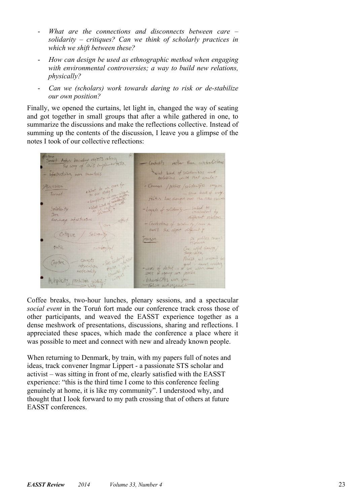- *What are the connections and disconnects between care solidarity – critiques? Can we think of scholarly practices in which we shift between these?*
- *How can design be used as ethnographic method when engaging with environmental controversies; a way to build new relations, physically?*
- *Can we (scholars) work towards daring to risk or de-stabilize our own position?*

Finally, we opened the curtains, let light in, changed the way of seating and got together in small groups that after a while gathered in one, to summarize the discussions and make the reflections collective. Instead of summing up the contents of the discussion, I leave you a glimpse of the notes I took of our collective reflections:

with *Peters: boundary obs*itets along Contrasts value they contradictions The way of ans inglementation what kind of selection that and Topostructuring non smartesis solutions would that counte? - Commons / publics / selections/20 regence What do we care for Russion ... some lead of voy Incomet. the out study<br>elements of the Politics have changed over the rike river Linda  $\frac{1}{2}$ - Layers of solidants - indeed to Saladarity  $2\pi$ different relations. Constantinos of soldinity from to enert the object different ? Citave Soliday De pobles they Treason ortic One with dia Flexible not wrong compt)  $-864$ Contact - Level of detail - a prod. must with interciption start ! Charles R noteistif space of agency are possible Wherabilities were your Autobility possibilities sobbiding Foilist auditycach

Coffee breaks, two-hour lunches, plenary sessions, and a spectacular *social event* in the Toruń fort made our conference track cross those of other participants, and weaved the EASST experience together as a dense meshwork of presentations, discussions, sharing and reflections. I appreciated these spaces, which made the conference a place where it was possible to meet and connect with new and already known people.

When returning to Denmark, by train, with my papers full of notes and ideas, track convener Ingmar Lippert - a passionate STS scholar and activist – was sitting in front of me, clearly satisfied with the EASST experience: "this is the third time I come to this conference feeling genuinely at home, it is like my community". I understood why, and thought that I look forward to my path crossing that of others at future EASST conferences.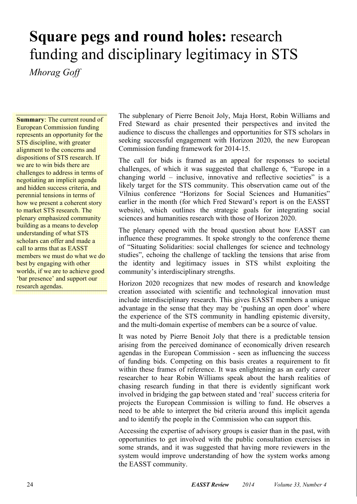# **Square pegs and round holes:** research funding and disciplinary legitimacy in STS

*Mhorag Goff* 

**Summary**: The current round of European Commission funding represents an opportunity for the STS discipline, with greater alignment to the concerns and dispositions of STS research. If we are to win bids there are challenges to address in terms of negotiating an implicit agenda and hidden success criteria, and perennial tensions in terms of how we present a coherent story to market STS research. The plenary emphasized community building as a means to develop understanding of what STS scholars can offer and made a call to arms that as EASST members we must do what we do best by engaging with other worlds, if we are to achieve good 'bar presence' and support our research agendas.

The subplenary of Pierre Benoit Joly, Maja Horst, Robin Williams and Fred Steward as chair presented their perspectives and invited the audience to discuss the challenges and opportunities for STS scholars in seeking successful engagement with Horizon 2020, the new European Commission funding framework for 2014-15.

The call for bids is framed as an appeal for responses to societal challenges, of which it was suggested that challenge 6, "Europe in a changing world – inclusive, innovative and reflective societies" is a likely target for the STS community. This observation came out of the Vilnius conference "Horizons for Social Sciences and Humanities" earlier in the month (for which Fred Steward's report is on the EASST website), which outlines the strategic goals for integrating social sciences and humanities research with those of Horizon 2020.

The plenary opened with the broad question about how EASST can influence these programmes. It spoke strongly to the conference theme of "Situating Solidarities: social challenges for science and technology studies", echoing the challenge of tackling the tensions that arise from the identity and legitimacy issues in STS whilst exploiting the community's interdisciplinary strengths.

Horizon 2020 recognizes that new modes of research and knowledge creation associated with scientific and technological innovation must include interdisciplinary research. This gives EASST members a unique advantage in the sense that they may be 'pushing an open door' where the experience of the STS community in handling epistemic diversity, and the multi-domain expertise of members can be a source of value.

It was noted by Pierre Benoit Joly that there is a predictable tension arising from the perceived dominance of economically driven research agendas in the European Commission - seen as influencing the success of funding bids. Competing on this basis creates a requirement to fit within these frames of reference. It was enlightening as an early career researcher to hear Robin Williams speak about the harsh realities of chasing research funding in that there is evidently significant work involved in bridging the gap between stated and 'real' success criteria for projects the European Commission is willing to fund. He observes a need to be able to interpret the bid criteria around this implicit agenda and to identify the people in the Commission who can support this.

Accessing the expertise of advisory groups is easier than in the past, with opportunities to get involved with the public consultation exercises in some strands, and it was suggested that having more reviewers in the system would improve understanding of how the system works among the EASST community.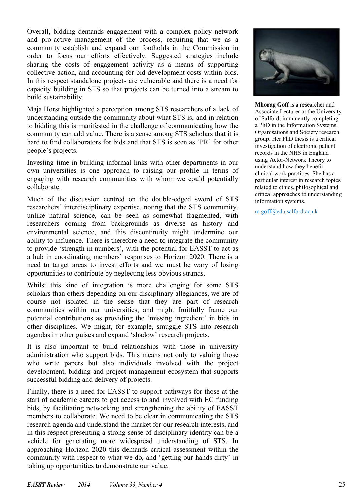Overall, bidding demands engagement with a complex policy network and pro-active management of the process, requiring that we as a community establish and expand our footholds in the Commission in order to focus our efforts effectively. Suggested strategies include sharing the costs of engagement activity as a means of supporting collective action, and accounting for bid development costs within bids. In this respect standalone projects are vulnerable and there is a need for capacity building in STS so that projects can be turned into a stream to build sustainability.

Maja Horst highlighted a perception among STS researchers of a lack of understanding outside the community about what STS is, and in relation to bidding this is manifested in the challenge of communicating how the community can add value. There is a sense among STS scholars that it is hard to find collaborators for bids and that STS is seen as 'PR' for other people's projects.

Investing time in building informal links with other departments in our own universities is one approach to raising our profile in terms of engaging with research communities with whom we could potentially collaborate.

Much of the discussion centred on the double-edged sword of STS researchers' interdisciplinary expertise, noting that the STS community, unlike natural science, can be seen as somewhat fragmented, with researchers coming from backgrounds as diverse as history and environmental science, and this discontinuity might undermine our ability to influence. There is therefore a need to integrate the community to provide 'strength in numbers', with the potential for EASST to act as a hub in coordinating members' responses to Horizon 2020. There is a need to target areas to invest efforts and we must be wary of losing opportunities to contribute by neglecting less obvious strands.

Whilst this kind of integration is more challenging for some STS scholars than others depending on our disciplinary allegiances, we are of course not isolated in the sense that they are part of research communities within our universities, and might fruitfully frame our potential contributions as providing the 'missing ingredient' in bids in other disciplines. We might, for example, smuggle STS into research agendas in other guises and expand 'shadow' research projects.

It is also important to build relationships with those in university administration who support bids. This means not only to valuing those who write papers but also individuals involved with the project development, bidding and project management ecosystem that supports successful bidding and delivery of projects.

Finally, there is a need for EASST to support pathways for those at the start of academic careers to get access to and involved with EC funding bids, by facilitating networking and strengthening the ability of EASST members to collaborate. We need to be clear in communicating the STS research agenda and understand the market for our research interests, and in this respect presenting a strong sense of disciplinary identity can be a vehicle for generating more widespread understanding of STS. In approaching Horizon 2020 this demands critical assessment within the community with respect to what we do, and 'getting our hands dirty' in taking up opportunities to demonstrate our value.



**Mhorag Goff** is a researcher and Associate Lecturer at the University of Salford; imminently completing a PhD in the Information Systems, Organisations and Society research group. Her PhD thesis is a critical investigation of electronic patient records in the NHS in England using Actor-Network Theory to understand how they benefit clinical work practices. She has a particular interest in research topics related to ethics, philosophical and critical approaches to understanding information systems.

m.goff@edu.salford.ac.uk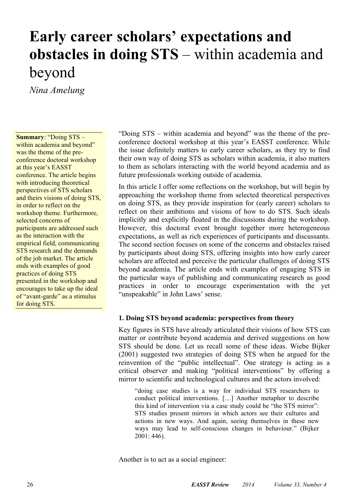### **Early career scholars' expectations and obstacles in doing STS** – within academia and beyond

*Nina Amelung* 

**Summary**: "Doing STS – within academia and beyond" was the theme of the preconference doctoral workshop at this year's EASST conference. The article begins with introducing theoretical perspectives of STS scholars and theirs visions of doing STS, in order to reflect on the workshop theme. Furthermore, selected concerns of participants are addressed such as the interaction with the empirical field, communicating STS research and the demands of the job market. The article ends with examples of good practices of doing STS presented in the workshop and encourages to take up the ideal of "avant-garde" as a stimulus for doing STS.

"Doing STS – within academia and beyond" was the theme of the preconference doctoral workshop at this year's EASST conference. While the issue definitely matters to early career scholars, as they try to find their own way of doing STS as scholars within academia, it also matters to them as scholars interacting with the world beyond academia and as future professionals working outside of academia.

In this article I offer some reflections on the workshop, but will begin by approaching the workshop theme from selected theoretical perspectives on doing STS, as they provide inspiration for (early career) scholars to reflect on their ambitions and visions of how to do STS. Such ideals implicitly and explicitly floated in the discussions during the workshop. However, this doctoral event brought together more heterogeneous expectations, as well as rich experiences of participants and discussants. The second section focuses on some of the concerns and obstacles raised by participants about doing STS, offering insights into how early career scholars are affected and perceive the particular challenges of doing STS beyond academia. The article ends with examples of engaging STS in the particular ways of publishing and communicating research as good practices in order to encourage experimentation with the yet "unspeakable" in John Laws' sense.

#### **1. Doing STS beyond academia: perspectives from theory**

Key figures in STS have already articulated their visions of how STS can matter or contribute beyond academia and derived suggestions on how STS should be done. Let us recall some of these ideas. Wiebe Bijker (2001) suggested two strategies of doing STS when he argued for the reinvention of the "public intellectual". One strategy is acting as a critical observer and making "political interventions" by offering a mirror to scientific and technological cultures and the actors involved:

"doing case studies is a way for individual STS researchers to conduct political interventions. […] Another metaphor to describe this kind of intervention via a case study could be "the STS mirror": STS studies present mirrors in which actors see their cultures and actions in new ways. And again, seeing themselves in these new ways may lead to self-conscious changes in behaviour." (Bijker 2001: 446).

Another is to act as a social engineer: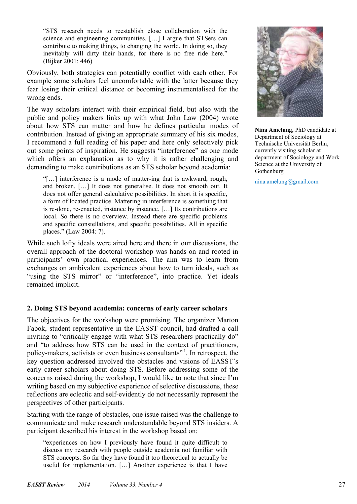"STS research needs to reestablish close collaboration with the science and engineering communities. […] I argue that STSers can contribute to making things, to changing the world. In doing so, they inevitably will dirty their hands, for there is no free ride here." (Bijker 2001: 446)

Obviously, both strategies can potentially conflict with each other. For example some scholars feel uncomfortable with the latter because they fear losing their critical distance or becoming instrumentalised for the wrong ends.

The way scholars interact with their empirical field, but also with the public and policy makers links up with what John Law (2004) wrote about how STS can matter and how he defines particular modes of contribution. Instead of giving an appropriate summary of his six modes, I recommend a full reading of his paper and here only selectively pick out some points of inspiration. He suggests "interference" as one mode which offers an explanation as to why it is rather challenging and demanding to make contributions as an STS scholar beyond academia:

"[…] interference is a mode of matter-ing that is awkward, rough, and broken. […] It does not generalise. It does not smooth out. It does not offer general calculative possibilities. In short it is specific, a form of located practice. Mattering in interference is something that is re-done, re-enacted, instance by instance. […] Its contributions are local. So there is no overview. Instead there are specific problems and specific constellations, and specific possibilities. All in specific places." (Law 2004: 7).

While such lofty ideals were aired here and there in our discussions, the overall approach of the doctoral workshop was hands-on and rooted in participants' own practical experiences. The aim was to learn from exchanges on ambivalent experiences about how to turn ideals, such as "using the STS mirror" or "interference", into practice. Yet ideals remained implicit.

#### **2. Doing STS beyond academia: concerns of early career scholars**

The objectives for the workshop were promising. The organizer Marton Fabok, student representative in the EASST council, had drafted a call inviting to "critically engage with what STS researchers practically do" and "to address how STS can be used in the context of practitioners, policy-makers, activists or even business consultants" 1. In retrospect, the key question addressed involved the obstacles and visions of EASST's early career scholars about doing STS. Before addressing some of the concerns raised during the workshop, I would like to note that since I'm writing based on my subjective experience of selective discussions, these reflections are eclectic and self-evidently do not necessarily represent the perspectives of other participants.

Starting with the range of obstacles, one issue raised was the challenge to communicate and make research understandable beyond STS insiders. A participant described his interest in the workshop based on:

"experiences on how I previously have found it quite difficult to discuss my research with people outside academia not familiar with STS concepts. So far they have found it too theoretical to actually be useful for implementation. […] Another experience is that I have



**Nina Amelung**, PhD candidate at Department of Sociology at Technische Universität Berlin, currently visiting scholar at department of Sociology and Work Science at the University of Gothenburg

nina.amelung@gmail.com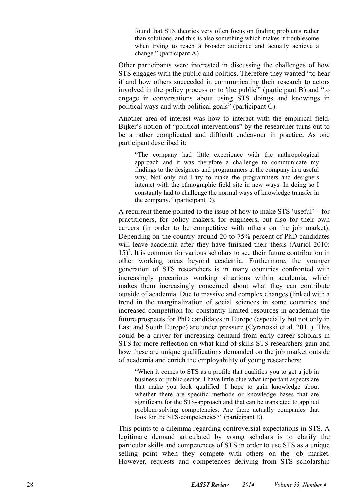found that STS theories very often focus on finding problems rather than solutions, and this is also something which makes it troublesome when trying to reach a broader audience and actually achieve a change." (participant A)

Other participants were interested in discussing the challenges of how STS engages with the public and politics. Therefore they wanted "to hear if and how others succeeded in communicating their research to actors involved in the policy process or to 'the public'" (participant B) and "to engage in conversations about using STS doings and knowings in political ways and with political goals" (participant C).

Another area of interest was how to interact with the empirical field. Bijker's notion of "political interventions" by the researcher turns out to be a rather complicated and difficult endeavour in practice. As one participant described it:

"The company had little experience with the anthropological approach and it was therefore a challenge to communicate my findings to the designers and programmers at the company in a useful way. Not only did I try to make the programmers and designers interact with the ethnographic field site in new ways. In doing so I constantly had to challenge the normal ways of knowledge transfer in the company." (participant D).

A recurrent theme pointed to the issue of how to make STS 'useful' – for practitioners, for policy makers, for engineers, but also for their own careers (in order to be competitive with others on the job market). Depending on the country around 20 to 75% percent of PhD candidates will leave academia after they have finished their thesis (Auriol 2010: 15) 2 . It is common for various scholars to see their future contribution in other working areas beyond academia. Furthermore, the younger generation of STS researchers is in many countries confronted with increasingly precarious working situations within academia, which makes them increasingly concerned about what they can contribute outside of academia. Due to massive and complex changes (linked with a trend in the marginalization of social sciences in some countries and increased competition for constantly limited resources in academia) the future prospects for PhD candidates in Europe (especially but not only in East and South Europe) are under pressure (Cyranoski et al. 2011). This could be a driver for increasing demand from early career scholars in STS for more reflection on what kind of skills STS researchers gain and how these are unique qualifications demanded on the job market outside of academia and enrich the employability of young researchers:

"When it comes to STS as a profile that qualifies you to get a job in business or public sector, I have little clue what important aspects are that make you look qualified. I hope to gain knowledge about whether there are specific methods or knowledge bases that are significant for the STS-approach and that can be translated to applied problem-solving competencies. Are there actually companies that look for the STS-competencies?" (participant E).

This points to a dilemma regarding controversial expectations in STS. A legitimate demand articulated by young scholars is to clarify the particular skills and competences of STS in order to use STS as a unique selling point when they compete with others on the job market. However, requests and competences deriving from STS scholarship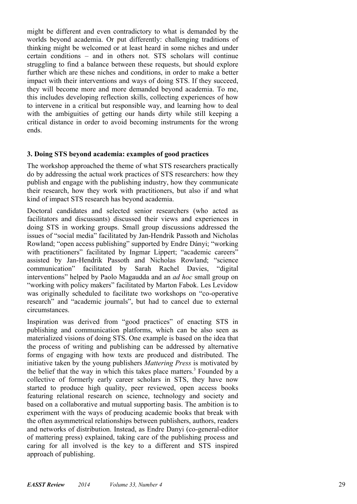might be different and even contradictory to what is demanded by the worlds beyond academia. Or put differently: challenging traditions of thinking might be welcomed or at least heard in some niches and under certain conditions – and in others not. STS scholars will continue struggling to find a balance between these requests, but should explore further which are these niches and conditions, in order to make a better impact with their interventions and ways of doing STS. If they succeed, they will become more and more demanded beyond academia. To me, this includes developing reflection skills, collecting experiences of how to intervene in a critical but responsible way, and learning how to deal with the ambiguities of getting our hands dirty while still keeping a critical distance in order to avoid becoming instruments for the wrong ends.

#### **3. Doing STS beyond academia: examples of good practices**

The workshop approached the theme of what STS researchers practically do by addressing the actual work practices of STS researchers: how they publish and engage with the publishing industry, how they communicate their research, how they work with practitioners, but also if and what kind of impact STS research has beyond academia.

Doctoral candidates and selected senior researchers (who acted as facilitators and discussants) discussed their views and experiences in doing STS in working groups. Small group discussions addressed the issues of "social media" facilitated by Jan-Hendrik Passoth and Nicholas Rowland; "open access publishing" supported by Endre Dányi; "working with practitioners" facilitated by Ingmar Lippert; "academic careers" assisted by Jan-Hendrik Passoth and Nicholas Rowland; "science communication" facilitated by Sarah Rachel Davies, "digital interventions" helped by Paolo Magaudda and an *ad hoc* small group on "working with policy makers" facilitated by Marton Fabok. Les Levidow was originally scheduled to facilitate two workshops on "co-operative research" and "academic journals", but had to cancel due to external circumstances.

Inspiration was derived from "good practices" of enacting STS in publishing and communication platforms, which can be also seen as materialized visions of doing STS. One example is based on the idea that the process of writing and publishing can be addressed by alternative forms of engaging with how texts are produced and distributed. The initiative taken by the young publishers *Mattering Press* is motivated by the belief that the way in which this takes place matters. 3 Founded by a collective of formerly early career scholars in STS, they have now started to produce high quality, peer reviewed, open access books featuring relational research on science, technology and society and based on a collaborative and mutual supporting basis. The ambition is to experiment with the ways of producing academic books that break with the often asymmetrical relationships between publishers, authors, readers and networks of distribution. Instead, as Endre Danyi (co-general-editor of mattering press) explained, taking care of the publishing process and caring for all involved is the key to a different and STS inspired approach of publishing.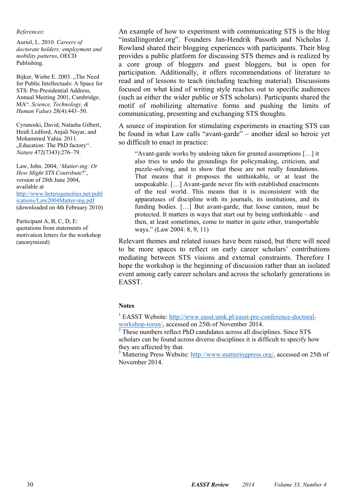#### *References*:

Auriol, L. 2010. *Careers of doctorate holders: employment and mobility patterns*, OECD Publishing.

Bijker, Wiebe E. 2003. ..The Need for Public Intellectuals: A Space for STS: Pre-Presidential Address, Annual Meeting 2001, Cambridge, MA". *Science, Technology, & Human Values* 28(4):443–50.

Cyranoski, David, Natasha Gilbert, Heidi Ledford, Anjali Nayar, and Mohammed Yahia. 2011. "Education: The PhD factory". *Nature* 472(7343):276–79.

Law, John. 2004; '*Matter-ing: Or How Might STS Contribute*?', version of 28th June 2004, available at http://www.heterogeneities.net/publ ications/Law2004Matter-ing.pdf (downloaded on 4th February 2010)

Participant A, B, C, D, E: quotations from statements of motivation letters for the workshop (anonymized)

An example of how to experiment with communicating STS is the blog "installingorder.org". Founders Jan-Hendrik Passoth and Nicholas J. Rowland shared their blogging experiences with participants. Their blog provides a public platform for discussing STS themes and is realized by a core group of bloggers and guest bloggers, but is open for participation. Additionally, it offers recommendations of literature to read and of lessons to teach (including teaching material). Discussions focused on what kind of writing style reaches out to specific audiences (such as either the wider public or STS scholars). Participants shared the motif of mobilizing alternative forms and pushing the limits of communicating, presenting and exchanging STS thoughts.

A source of inspiration for stimulating experiments in enacting STS can be found in what Law calls "avant-garde" – another ideal so heroic yet so difficult to enact in practice:

"Avant-garde works by undoing taken for granted assumptions […] it also tries to undo the groundings for policymaking, criticism, and puzzle-solving, and to show that these are not really foundations. That means that it proposes the unthinkable, or at least the unspeakable. […] Avant-garde never fits with established enactments of the real world. This means that it is inconsistent with the apparatuses of discipline with its journals, its institutions, and its funding bodies. […] But avant-garde, that loose cannon, must be protected. It matters in ways that start out by being unthinkable – and then, at least sometimes, come to matter in quite other, transportable ways." (Law 2004: 8, 9, 11)

Relevant themes and related issues have been raised, but there will need to be more spaces to reflect on early career scholars' contributions mediating between STS visions and external constraints. Therefore I hope the workshop is the beginning of discussion rather than an isolated event among early career scholars and across the scholarly generations in EASST.

#### **Notes**

<sup>1</sup> EASST Website: http://www.easst.umk.pl/easst-pre-conference-doctoralworkshop-torun/, accessed on 25th of November 2014.

<sup>2</sup> These numbers reflect PhD candidates across all disciplines. Since STS scholars can be found across diverse disciplines it is difficult to specify how they are affected by that.

<sup>3</sup> Mattering Press Website: http://www.matteringpress.org/, accessed on 25th of November 2014.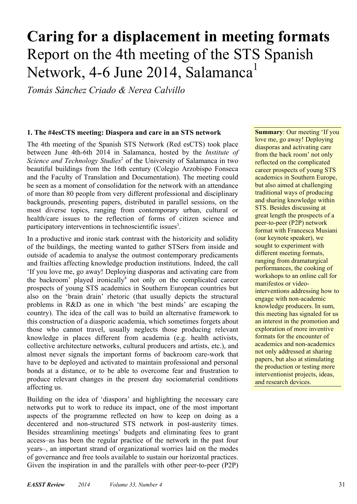# **Caring for a displacement in meeting formats**  Report on the 4th meeting of the STS Spanish Network, 4-6 June 2014, Salamanca<sup>1</sup>

*Tomás Sánchez Criado & Nerea Calvillo*

#### **1. The #4esCTS meeting: Diaspora and care in an STS network**

The 4th meeting of the Spanish STS Network (Red esCTS) took place between June 4th-6th 2014 in Salamanca, hosted by the *Institute of*  Science and Technology Studies<sup>2</sup> of the University of Salamanca in two beautiful buildings from the 16th century (Colegio Arzobispo Fonseca and the Faculty of Translation and Documentation). The meeting could be seen as a moment of consolidation for the network with an attendance of more than 80 people from very different professional and disciplinary backgrounds, presenting papers, distributed in parallel sessions, on the most diverse topics, ranging from contemporary urban, cultural or health/care issues to the reflection of forms of citizen science and participatory interventions in technoscientific issues<sup>3</sup>.

In a productive and ironic stark contrast with the historicity and solidity of the buildings, the meeting wanted to gather STSers from inside and outside of academia to analyse the outmost contemporary predicaments and frailties affecting knowledge production institutions. Indeed, the call 'If you love me, go away! Deploying diasporas and activating care from the backroom' played ironically<sup>4</sup> not only on the complicated career prospects of young STS academics in Southern European countries but also on the 'brain drain' rhetoric (that usually depicts the structural problems in R&D as one in which 'the best minds' are escaping the country). The idea of the call was to build an alternative framework to this construction of a diasporic academia, which sometimes forgets about those who cannot travel, usually neglects those producing relevant knowledge in places different from academia (e.g. health activists, collective architecture networks, cultural producers and artists, etc.), and almost never signals the important forms of backroom care-work that have to be deployed and activated to maintain professional and personal bonds at a distance, or to be able to overcome fear and frustration to produce relevant changes in the present day sociomaterial conditions affecting us.

Building on the idea of 'diaspora' and highlighting the necessary care networks put to work to reduce its impact, one of the most important aspects of the programme reflected on how to keep on doing as a decentered and non-structured STS network in post-austerity times. Besides streamlining meetings' budgets and eliminating fees to grant access–as has been the regular practice of the network in the past four years–, an important strand of organizational worries laid on the modes of governance and free tools available to sustain our horizontal practices. Given the inspiration in and the parallels with other peer-to-peer (P2P) **Summary**: Our meeting 'If you love me, go away! Deploying diasporas and activating care from the back room' not only reflected on the complicated career prospects of young STS academics in Southern Europe, but also aimed at challenging traditional ways of producing and sharing knowledge within STS. Besides discussing at great length the prospects of a peer-to-peer (P2P) network format with Francesca Musiani (our keynote speaker), we sought to experiment with different meeting formats, ranging from dramaturgical performances, the cooking of workshops to an online call for manifestos or videointerventions addressing how to engage with non-academic knowledge producers. In sum, this meeting has signaled for us an interest in the promotion and exploration of more inventive formats for the encounter of academics and non-academics not only addressed at sharing papers, but also at stimulating the production or testing more interventionist projects, ideas, and research devices.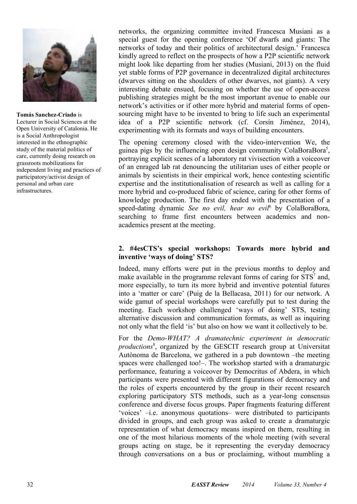

**Tomás Sanchez-Criado** is Lecturer in Social Sciences at the Open University of Catalonia. He is a Social Anthropologist interested in the ethnographic study of the material politics of care, currently doing research on grassroots mobilizations for independent living and practices of participatory/activist design of personal and urban care infrastructures.

networks, the organizing committee invited Francesca Musiani as a special guest for the opening conference 'Of dwarfs and giants: The networks of today and their politics of architectural design.' Francesca kindly agreed to reflect on the prospects of how a P2P scientific network might look like departing from her studies (Musiani, 2013) on the fluid yet stable forms of P2P governance in decentralized digital architectures (dwarves sitting on the shoulders of other dwarves, not giants). A very interesting debate ensued, focusing on whether the use of open-access publishing strategies might be the most important avenue to enable our network's activities or if other more hybrid and material forms of opensourcing might have to be invented to bring to life such an experimental idea of a P2P scientific network (cf. Corsín Jiménez, 2014), experimenting with its formats and ways of building encounters.

The opening ceremony closed with the video-intervention We, the guinea pigs by the influencing open design community ColaBoraBora<sup>5</sup>, portraying explicit scenes of a laboratory rat vivisection with a voiceover of an enraged lab rat denouncing the utilitarian uses of either people or animals by scientists in their empirical work, hence contesting scientific expertise and the institutionalisation of research as well as calling for a more hybrid and co-produced fabric of science, caring for other forms of knowledge production. The first day ended with the presentation of a speed-dating dynamic See no evil, hear no evil<sup>6</sup> by ColaBoraBora, searching to frame first encounters between academics and nonacademics present at the meeting.

#### **2. #4esCTS's special workshops: Towards more hybrid and inventive 'ways of doing' STS?**

Indeed, many efforts were put in the previous months to deploy and make available in the programme relevant forms of caring for  $STS<sup>7</sup>$  and, more especially, to turn its more hybrid and inventive potential futures into a 'matter or care' (Puig de la Bellacasa, 2011) for our network. A wide gamut of special workshops were carefully put to test during the meeting. Each workshop challenged 'ways of doing' STS, testing alternative discussion and communication formats, as well as inquiring not only what the field 'is' but also on how we want it collectively to be.

For the *Demo-WHAT? A dramatechnic experiment in democratic productions*<sup>8</sup> , organized by the GESCIT research group at Universitat Autònoma de Barcelona, we gathered in a pub downtown –the meeting spaces were challenged too!-. The workshop started with a dramaturgic performance, featuring a voiceover by Democritus of Abdera, in which participants were presented with different figurations of democracy and the roles of experts encountered by the group in their recent research exploring participatory STS methods, such as a year-long consensus conference and diverse focus groups. Paper fragments featuring different 'voices' –i.e. anonymous quotations– were distributed to participants divided in groups, and each group was asked to create a dramaturgic representation of what democracy means inspired on them, resulting in one of the most hilarious moments of the whole meeting (with several groups acting on stage, be it representing the everyday democracy through conversations on a bus or proclaiming, without mumbling a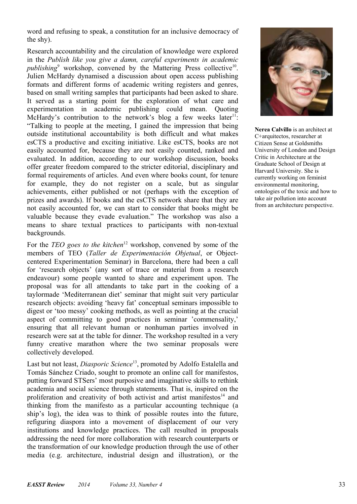word and refusing to speak, a constitution for an inclusive democracy of the shy).

Research accountability and the circulation of knowledge were explored in the *Publish like you give a damn, careful experiments in academic*  publishing<sup>9</sup> workshop, convened by the Mattering Press collective<sup>10</sup>. Julien McHardy dynamised a discussion about open access publishing formats and different forms of academic writing registers and genres, based on small writing samples that participants had been asked to share. It served as a starting point for the exploration of what care and experimentation in academic publishing could mean. Quoting McHardy's contribution to the network's blog a few weeks later<sup>11</sup>: "Talking to people at the meeting, I gained the impression that being outside institutional accountability is both difficult and what makes esCTS a productive and exciting initiative. Like esCTS, books are not easily accounted for, because they are not easily counted, ranked and evaluated. In addition, according to our workshop discussion, books offer greater freedom compared to the stricter editorial, disciplinary and formal requirements of articles. And even where books count, for tenure for example, they do not register on a scale, but as singular achievements, either published or not (perhaps with the exception of prizes and awards). If books and the esCTS network share that they are not easily accounted for, we can start to consider that books might be valuable because they evade evaluation." The workshop was also a means to share textual practices to participants with non-textual backgrounds.

For the *TEO goes to the kitchen*<sup>12</sup> workshop, convened by some of the members of TEO (*Taller de Experimentación Objetual*, or Objectcentered Experimentation Seminar) in Barcelona, there had been a call for 'research objects' (any sort of trace or material from a research endeavour) some people wanted to share and experiment upon. The proposal was for all attendants to take part in the cooking of a taylormade 'Mediterranean diet' seminar that might suit very particular research objects: avoiding 'heavy fat' conceptual seminars impossible to digest or 'too messy' cooking methods, as well as pointing at the crucial aspect of committing to good practices in seminar 'commensality,' ensuring that all relevant human or nonhuman parties involved in research were sat at the table for dinner. The workshop resulted in a very funny creative marathon where the two seminar proposals were collectively developed.

Last but not least, *Diasporic Science*13, promoted by Adolfo Estalella and Tomás Sánchez Criado, sought to promote an online call for manifestos, putting forward STSers' most purposive and imaginative skills to rethink academia and social science through statements. That is, inspired on the proliferation and creativity of both activist and artist manifestos<sup>14</sup> and thinking from the manifesto as a particular accounting technique (a ship's log), the idea was to think of possible routes into the future, refiguring diaspora into a movement of displacement of our very institutions and knowledge practices. The call resulted in proposals addressing the need for more collaboration with research counterparts or the transformation of our knowledge production through the use of other media (e.g. architecture, industrial design and illustration), or the



**Nerea Calvillo** is an architect at C+arquitectos, researcher at Citizen Sense at Goldsmiths University of London and Design Critic in Architecture at the Graduate School of Design at Harvard University. She is currently working on feminist environmental monitoring, ontologies of the toxic and how to take air pollution into account from an architecture perspective.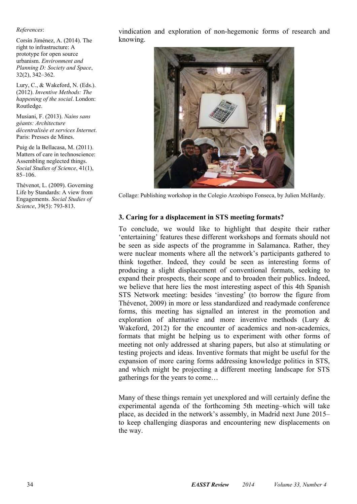#### *References*:

Corsín Jiménez, A. (2014). The right to infrastructure: A prototype for open source urbanism. *Environment and Planning D: Society and Space*, 32(2), 342–362.

Lury, C., & Wakeford, N. (Eds.). (2012). *Inventive Methods: The happening of the social*. London: Routledge.

Musiani, F. (2013). *Nains sans géants: Architecture décentralisée et services Internet*. Paris: Presses de Mines.

Puig de la Bellacasa, M. (2011). Matters of care in technoscience: Assembling neglected things. *Social Studies of Science*, 41(1),  $85-106$ .

Thévenot, L. (2009). Governing Life by Standards: A view from Engagements. *Social Studies of Science*, 39(5): 793-813.

vindication and exploration of non-hegemonic forms of research and knowing.



Collage: Publishing workshop in the Colegio Arzobispo Fonseca, by Julien McHardy.

#### **3. Caring for a displacement in STS meeting formats?**

To conclude, we would like to highlight that despite their rather 'entertaining' features these different workshops and formats should not be seen as side aspects of the programme in Salamanca. Rather, they were nuclear moments where all the network's participants gathered to think together. Indeed, they could be seen as interesting forms of producing a slight displacement of conventional formats, seeking to expand their prospects, their scope and to broaden their publics. Indeed, we believe that here lies the most interesting aspect of this 4th Spanish STS Network meeting: besides 'investing' (to borrow the figure from Thévenot, 2009) in more or less standardized and readymade conference forms, this meeting has signalled an interest in the promotion and exploration of alternative and more inventive methods (Lury & Wakeford, 2012) for the encounter of academics and non-academics, formats that might be helping us to experiment with other forms of meeting not only addressed at sharing papers, but also at stimulating or testing projects and ideas. Inventive formats that might be useful for the expansion of more caring forms addressing knowledge politics in STS, and which might be projecting a different meeting landscape for STS gatherings for the years to come…

Many of these things remain yet unexplored and will certainly define the experimental agenda of the forthcoming 5th meeting–which will take place, as decided in the network's assembly, in Madrid next June 2015– to keep challenging diasporas and encountering new displacements on the way.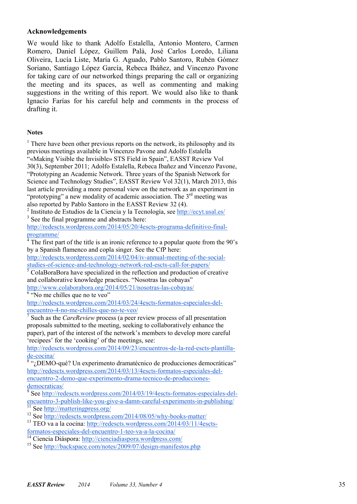#### **Acknowledgements**

We would like to thank Adolfo Estalella, Antonio Montero, Carmen Romero, Daniel López, Guillem Palà, José Carlos Loredo, Liliana Oliveira, Lucía Liste, María G. Aguado, Pablo Santoro, Rubén Gómez Soriano, Santiago López García, Rebeca Ibáñez, and Vincenzo Pavone for taking care of our networked things preparing the call or organizing the meeting and its spaces, as well as commenting and making suggestions in the writing of this report. We would also like to thank Ignacio Farías for his careful help and comments in the process of drafting it.

#### **Notes**

<sup>1</sup> There have been other previous reports on the network, its philosophy and its previous meetings available in Vincenzo Pavone and Adolfo Estalella "«Making Visible the Invisible» STS Field in Spain", EASST Review Vol 30(3), September 2011; Adolfo Estalella, Rebeca Ibañez and Vincenzo Pavone, "Prototyping an Academic Network. Three years of the Spanish Network for Science and Technology Studies", EASST Review Vol 32(1), March 2013, this last article providing a more personal view on the network as an experiment in "prototyping" a new modality of academic association. The  $3<sup>rd</sup>$  meeting was

also reported by Pablo Santoro in the EASST Review 32 (4). 2

 $\frac{1}{2}$  Instituto de Estudios de la Ciencia y la Tecnología, see http://ecyt.usal.es/ <sup>3</sup> See the final programme and abstracts here:

http://redescts.wordpress.com/2014/05/20/4escts-programa-definitivo-finalprogramme/ 4

 $\frac{4}{1}$ . The first part of the title is an ironic reference to a popular quote from the 90's by a Spanish flamenco and copla singer. See the CfP here:

http://redescts.wordpress.com/2014/02/04/iv-annual-meeting-of-the-socialstudies-of-science-and-technology-network-red-escts-call-for-papers/ 5

 $\sqrt[5]{\text{ColaBoraBora}}$  have specialized in the reflection and production of creative and collaborative knowledge practices. "Nosotras las cobayas"

http://www.colaborabora.org/2014/05/21/nosotras-las-cobayas/ 6  $\sqrt[6]{\frac{1}{6}}$   $\frac{1}{100}$  me chilles que no te veo"

http://redescts.wordpress.com/2014/03/24/4escts-formatos-especiales-delencuentro-4-no-me-chilles-que-no-te-veo/ 7

 Such as the *CareReview* process (a peer review process of all presentation proposals submitted to the meeting, seeking to collaboratively enhance the paper), part of the interest of the network's members to develop more careful 'recipees' for the 'cooking' of the meetings, see:

http://redescts.wordpress.com/2014/09/23/encuentros-de-la-red-escts-plantillade-cocina/ 8

 $\sqrt[8]{\cdot \cdot \cdot}$ <sub>i</sub>DEMO-qué? Un experimento dramatécnico de producciones democráticas" http://redescts.wordpress.com/2014/03/13/4escts-formatos-especiales-delencuentro-2-demo-que-experimento-drama-tecnico-de-produccionesdemocraticas/

 See http://redescts.wordpress.com/2014/03/19/4escts-formatos-especiales-delencuentro-3-publish-like-you-give-a-damn-careful-experiments-in-publishing/<br>
<sup>11</sup> See http://matteringpress.org/<br>
<sup>12</sup> See http://redescts.wordpress.com/2014/08/05/why-books-matter/<br>
<sup>13</sup> TEO va a la cocina: http://redesct

<sup>14</sup> Ciencia Diáspora: http://cienciadiaspora.wordpress.com/

15 See http://backspace.com/notes/2009/07/design-manifestos.php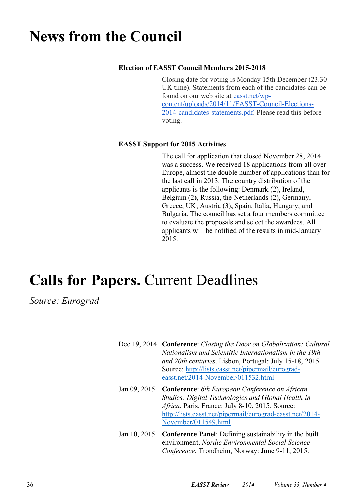### **News from the Council**

#### **Election of EASST Council Members 2015-2018**

Closing date for voting is Monday 15th December (23.30 UK time). Statements from each of the candidates can be found on our web site at easst.net/wpcontent/uploads/2014/11/EASST-Council-Elections-2014-candidates-statements.pdf. Please read this before voting.

#### **EASST Support for 2015 Activities**

 The call for application that closed November 28, 2014 was a success. We received 18 applications from all over Europe, almost the double number of applications than for the last call in 2013. The country distribution of the applicants is the following: Denmark (2), Ireland, Belgium (2), Russia, the Netherlands (2), Germany, Greece, UK, Austria (3), Spain, Italia, Hungary, and Bulgaria. The council has set a four members committee to evaluate the proposals and select the awardees. All applicants will be notified of the results in mid-January 2015.

# **Calls for Papers.** Current Deadlines

*Source: Eurograd* 

| Dec 19, 2014 Conference: Closing the Door on Globalization: Cultural<br>Nationalism and Scientific Internationalism in the 19th<br>and 20th centuries. Lisbon, Portugal: July 15-18, 2015.<br>Source: http://lists.easst.net/pipermail/eurograd- |
|--------------------------------------------------------------------------------------------------------------------------------------------------------------------------------------------------------------------------------------------------|
| easst.net/2014-November/011532.html<br>Jan 09, 2015 Conference: 6th European Conference on African<br>Studies: Digital Technologies and Global Health in<br>Africa. Paris, France: July 8-10, 2015. Source:                                      |
| http://lists.easst.net/pipermail/eurograd-easst.net/2014-<br>November/011549.html                                                                                                                                                                |
| Jan 10, 2015 Conference Panel: Defining sustainability in the built                                                                                                                                                                              |

Jan 10, 2015 **Conference Panel**: Defining sustainability in the built environment, *Nordic Environmental Social Science Conference*. Trondheim, Norway: June 9-11, 2015.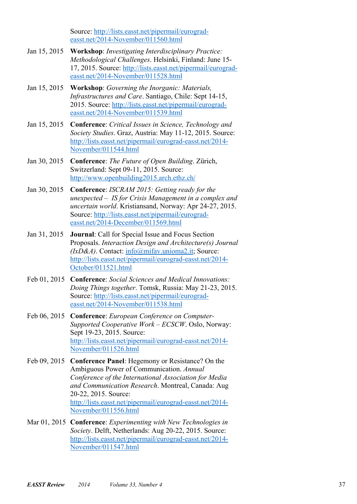Source: http://lists.easst.net/pipermail/eurogradeasst.net/2014-November/011560.html

- Jan 15, 2015 **Workshop**: *Investigating Interdisciplinary Practice: Methodological Challenges*. Helsinki, Finland: June 15- 17, 2015. Source: http://lists.easst.net/pipermail/eurogradeasst.net/2014-November/011528.html
- Jan 15, 2015 **Workshop**: *Governing the Inorganic: Materials, Infrastructures and Care*. Santiago, Chile: Sept 14-15, 2015. Source: http://lists.easst.net/pipermail/eurogradeasst.net/2014-November/011539.html
- Jan 15, 2015 **Conference**: *Critical Issues in Science, Technology and Society Studies*. Graz, Austria: May 11-12, 2015. Source: http://lists.easst.net/pipermail/eurograd-easst.net/2014- November/011544.html
- Jan 30, 2015 **Conference**: *The Future of Open Building*. Zürich, Switzerland: Sept 09-11, 2015. Source: http://www.openbuilding2015.arch.ethz.ch/
- Jan 30, 2015 **Conference**: *ISCRAM 2015: Getting ready for the unexpected – IS for Crisis Management in a complex and uncertain world*. Kristiansand, Norway: Apr 24-27, 2015. Source: http://lists.easst.net/pipermail/eurogradeasst.net/2014-December/011569.html
- Jan 31, 2015 **Journal**: Call for Special Issue and Focus Section Proposals. *Interaction Design and Architecture(s) Journal (IxD&A)*. Contact: info@mifav.unioma2.it; Source: http://lists.easst.net/pipermail/eurograd-easst.net/2014- October/011521.html
- Feb 01, 2015 **Conference**: *Social Sciences and Medical Innovations: Doing Things together*. Tomsk, Russia: May 21-23, 2015. Source: http://lists.easst.net/pipermail/eurogradeasst.net/2014-November/011538.html
- Feb 06, 2015 **Conference**: *European Conference on Computer-Supported Cooperative Work – ECSCW*. Oslo, Norway: Sept 19-23, 2015. Source: http://lists.easst.net/pipermail/eurograd-easst.net/2014- November/011526.html
- Feb 09, 2015 **Conference Panel**: Hegemony or Resistance? On the Ambiguous Power of Communication. *Annual Conference of the International Association for Media and Communication Research*. Montreal, Canada: Aug 20-22, 2015. Source: http://lists.easst.net/pipermail/eurograd-easst.net/2014- November/011556.html
- Mar 01, 2015 **Conference**: *Experimenting with New Technologies in Society*. Delft, Netherlands: Aug 20-22, 2015. Source: http://lists.easst.net/pipermail/eurograd-easst.net/2014- November/011547.html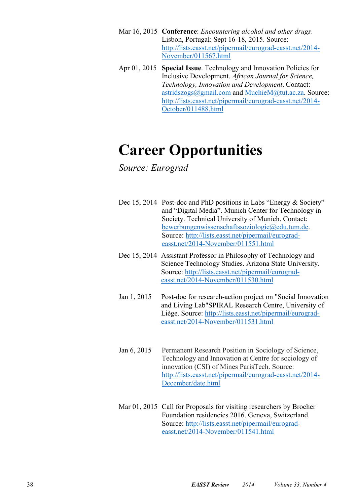- Mar 16, 2015 **Conference**: *Encountering alcohol and other drugs*. Lisbon, Portugal: Sept 16-18, 2015. Source: http://lists.easst.net/pipermail/eurograd-easst.net/2014- November/011567.html
- Apr 01, 2015 **Special Issue**. Technology and Innovation Policies for Inclusive Development. *African Journal for Science, Technology, Innovation and Development*. Contact: astridszogs@gmail.com and MuchieM@tut.ac.za. Source: http://lists.easst.net/pipermail/eurograd-easst.net/2014- October/011488.html

### **Career Opportunities**

### *Source: Eurograd*

| Dec 15, 2014 Post-doc and PhD positions in Labs "Energy $&$ Society" |
|----------------------------------------------------------------------|
| and "Digital Media". Munich Center for Technology in                 |
| Society. Technical University of Munich. Contact:                    |
| bewerbungenwissenschaftssoziologie@edu.tum.de.                       |
| Source: http://lists.easst.net/pipermail/eurograd-                   |
| easst.net/2014-November/011551.html                                  |

- Dec 15, 2014 Assistant Professor in Philosophy of Technology and Science Technology Studies. Arizona State University. Source: http://lists.easst.net/pipermail/eurogradeasst.net/2014-November/011530.html
- Jan 1, 2015 Post-doc for research-action project on "Social Innovation and Living Lab"SPIRAL Research Centre, University of Liège. Source: http://lists.easst.net/pipermail/eurogradeasst.net/2014-November/011531.html
- Jan 6, 2015 Permanent Research Position in Sociology of Science, Technology and Innovation at Centre for sociology of innovation (CSI) of Mines ParisTech. Source: http://lists.easst.net/pipermail/eurograd-easst.net/2014- December/date.html
- Mar 01, 2015 Call for Proposals for visiting researchers by Brocher Foundation residencies 2016. Geneva, Switzerland. Source: http://lists.easst.net/pipermail/eurogradeasst.net/2014-November/011541.html